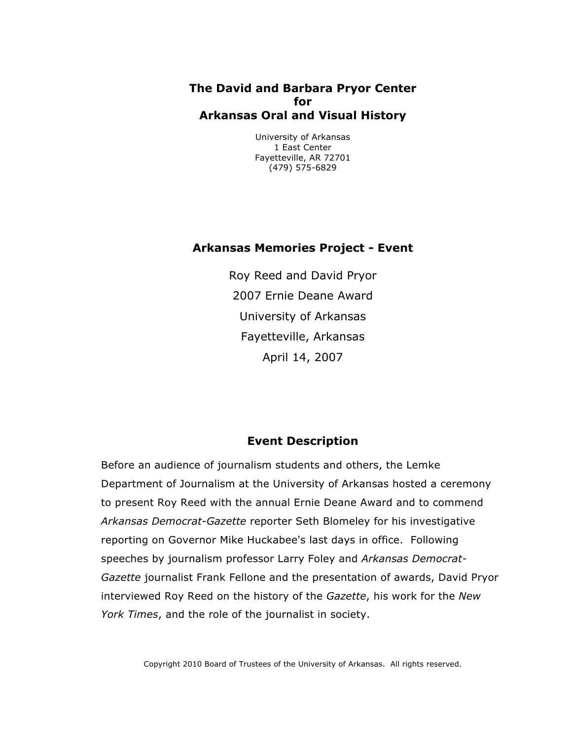### **The David and Barbara Pryor Center for Arkansas Oral and Visual History**

University of Arkansas 1 East Center Fayetteville, AR 72701 (479) 575-6829

# **Arkansas Memories Project - Event**

Roy Reed and David Pryor 2007 Ernie Deane Award University of Arkansas Fayetteville, Arkansas April 14, 2007

# **Event Description**

Before an audience of journalism students and others, the Lemke Department of Journalism at the University of Arkansas hosted a ceremony to present Roy Reed with the annual Ernie Deane Award and to commend *Arkansas Democrat-Gazette* reporter Seth Blomeley for his investigative reporting on Governor Mike Huckabee's last days in office. Following speeches by journalism professor Larry Foley and *Arkansas Democrat-*Gazette journalist Frank Fellone and the presentation of awards, David Pryor interviewed Roy Reed on the history of the *Gazette*, his work for the *New York Times*, and the role of the journalist in society.

Copyright 2010 Board of Trustees of the University of Arkansas. All rights reserved.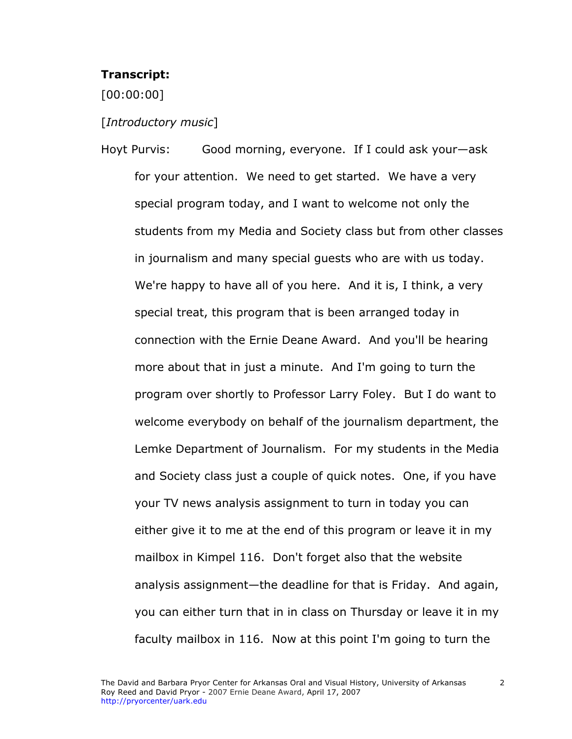# **Transcript:**

[00:00:00]

### [*Introductory music*]

Hoyt Purvis: Good morning, everyone. If I could ask your—ask for your attention. We need to get started. We have a very special program today, and I want to welcome not only the students from my Media and Society class but from other classes in journalism and many special guests who are with us today. We're happy to have all of you here. And it is, I think, a very special treat, this program that is been arranged today in connection with the Ernie Deane Award. And you'll be hearing more about that in just a minute. And I'm going to turn the program over shortly to Professor Larry Foley. But I do want to welcome everybody on behalf of the journalism department, the Lemke Department of Journalism. For my students in the Media and Society class just a couple of quick notes. One, if you have your TV news analysis assignment to turn in today you can either give it to me at the end of this program or leave it in my mailbox in Kimpel 116. Don't forget also that the website analysis assignment—the deadline for that is Friday. And again, you can either turn that in in class on Thursday or leave it in my faculty mailbox in 116. Now at this point I'm going to turn the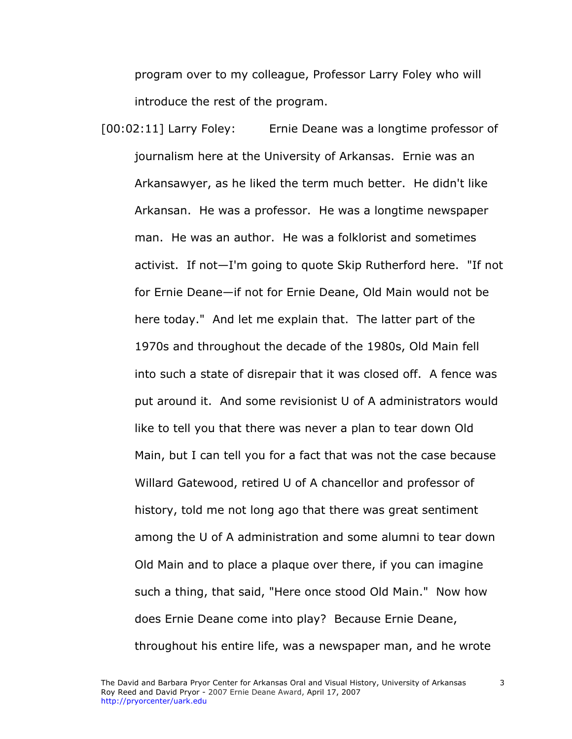program over to my colleague, Professor Larry Foley who will introduce the rest of the program.

[00:02:11] Larry Foley: Ernie Deane was a longtime professor of journalism here at the University of Arkansas. Ernie was an Arkansawyer, as he liked the term much better. He didn't like Arkansan. He was a professor. He was a longtime newspaper man. He was an author. He was a folklorist and sometimes activist. If not—I'm going to quote Skip Rutherford here. "If not for Ernie Deane—if not for Ernie Deane, Old Main would not be here today." And let me explain that. The latter part of the 1970s and throughout the decade of the 1980s, Old Main fell into such a state of disrepair that it was closed off. A fence was put around it. And some revisionist U of A administrators would like to tell you that there was never a plan to tear down Old Main, but I can tell you for a fact that was not the case because Willard Gatewood, retired U of A chancellor and professor of history, told me not long ago that there was great sentiment among the U of A administration and some alumni to tear down Old Main and to place a plaque over there, if you can imagine such a thing, that said, "Here once stood Old Main." Now how does Ernie Deane come into play? Because Ernie Deane, throughout his entire life, was a newspaper man, and he wrote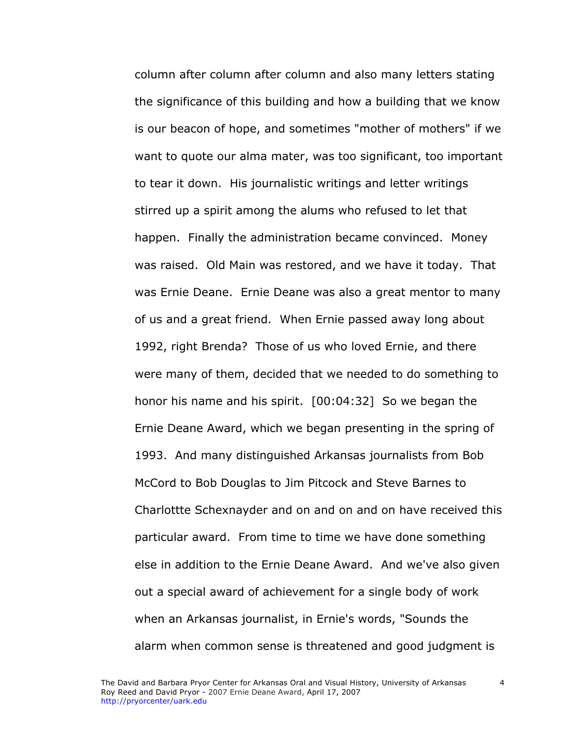column after column after column and also many letters stating the significance of this building and how a building that we know is our beacon of hope, and sometimes "mother of mothers" if we want to quote our alma mater, was too significant, too important to tear it down. His journalistic writings and letter writings stirred up a spirit among the alums who refused to let that happen. Finally the administration became convinced. Money was raised. Old Main was restored, and we have it today. That was Ernie Deane. Ernie Deane was also a great mentor to many of us and a great friend. When Ernie passed away long about 1992, right Brenda? Those of us who loved Ernie, and there were many of them, decided that we needed to do something to honor his name and his spirit. [00:04:32] So we began the Ernie Deane Award, which we began presenting in the spring of 1993. And many distinguished Arkansas journalists from Bob McCord to Bob Douglas to Jim Pitcock and Steve Barnes to Charlottte Schexnayder and on and on and on have received this particular award. From time to time we have done something else in addition to the Ernie Deane Award. And we've also given out a special award of achievement for a single body of work when an Arkansas journalist, in Ernie's words, "Sounds the alarm when common sense is threatened and good judgment is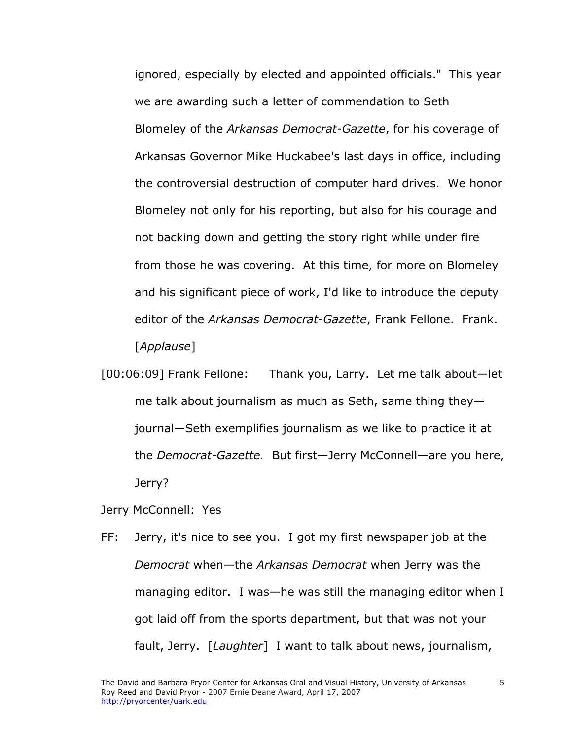ignored, especially by elected and appointed officials." This year we are awarding such a letter of commendation to Seth Blomeley of the *Arkansas Democrat-Gazette*, for his coverage of Arkansas Governor Mike Huckabee's last days in office, including the controversial destruction of computer hard drives. We honor Blomeley not only for his reporting, but also for his courage and not backing down and getting the story right while under fire from those he was covering. At this time, for more on Blomeley and his significant piece of work, I'd like to introduce the deputy editor of the *Arkansas Democrat-Gazette*, Frank Fellone. Frank. [*Applause*]

[00:06:09] Frank Fellone: Thank you, Larry. Let me talk about—let me talk about journalism as much as Seth, same thing they journal—Seth exemplifies journalism as we like to practice it at the *Democrat-Gazette.* But first—Jerry McConnell—are you here, Jerry?

Jerry McConnell: Yes

FF: Jerry, it's nice to see you. I got my first newspaper job at the *Democrat* when—the *Arkansas Democrat* when Jerry was the managing editor. I was—he was still the managing editor when I got laid off from the sports department, but that was not your fault, Jerry. [*Laughter*] I want to talk about news, journalism,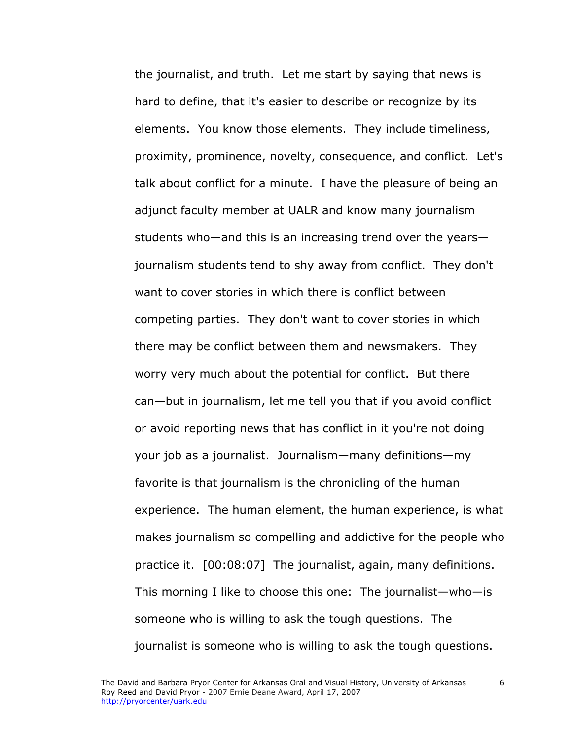the journalist, and truth. Let me start by saying that news is hard to define, that it's easier to describe or recognize by its elements. You know those elements. They include timeliness, proximity, prominence, novelty, consequence, and conflict. Let's talk about conflict for a minute. I have the pleasure of being an adjunct faculty member at UALR and know many journalism students who—and this is an increasing trend over the years journalism students tend to shy away from conflict. They don't want to cover stories in which there is conflict between competing parties. They don't want to cover stories in which there may be conflict between them and newsmakers. They worry very much about the potential for conflict. But there can—but in journalism, let me tell you that if you avoid conflict or avoid reporting news that has conflict in it you're not doing your job as a journalist. Journalism—many definitions—my favorite is that journalism is the chronicling of the human experience. The human element, the human experience, is what makes journalism so compelling and addictive for the people who practice it. [00:08:07] The journalist, again, many definitions. This morning I like to choose this one: The journalist—who—is someone who is willing to ask the tough questions. The journalist is someone who is willing to ask the tough questions.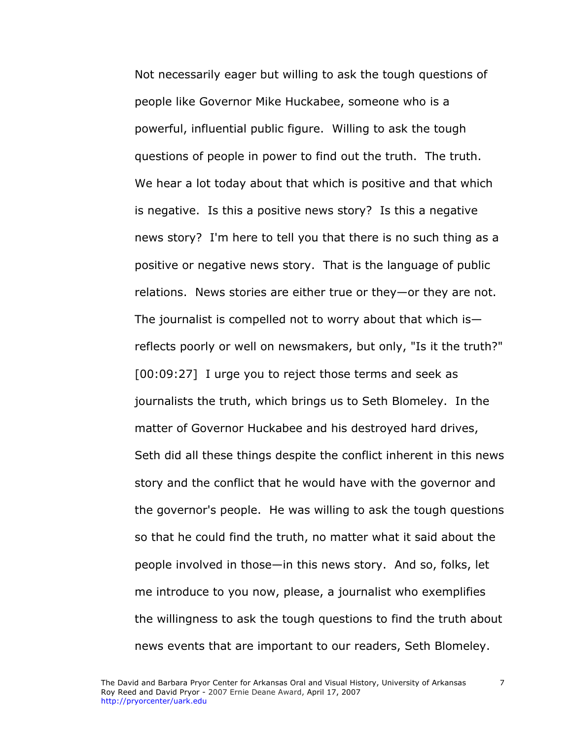Not necessarily eager but willing to ask the tough questions of people like Governor Mike Huckabee, someone who is a powerful, influential public figure. Willing to ask the tough questions of people in power to find out the truth. The truth. We hear a lot today about that which is positive and that which is negative. Is this a positive news story? Is this a negative news story? I'm here to tell you that there is no such thing as a positive or negative news story. That is the language of public relations. News stories are either true or they—or they are not. The journalist is compelled not to worry about that which is reflects poorly or well on newsmakers, but only, "Is it the truth?" [00:09:27] I urge you to reject those terms and seek as journalists the truth, which brings us to Seth Blomeley. In the matter of Governor Huckabee and his destroyed hard drives, Seth did all these things despite the conflict inherent in this news story and the conflict that he would have with the governor and the governor's people. He was willing to ask the tough questions so that he could find the truth, no matter what it said about the people involved in those—in this news story. And so, folks, let me introduce to you now, please, a journalist who exemplifies the willingness to ask the tough questions to find the truth about news events that are important to our readers, Seth Blomeley.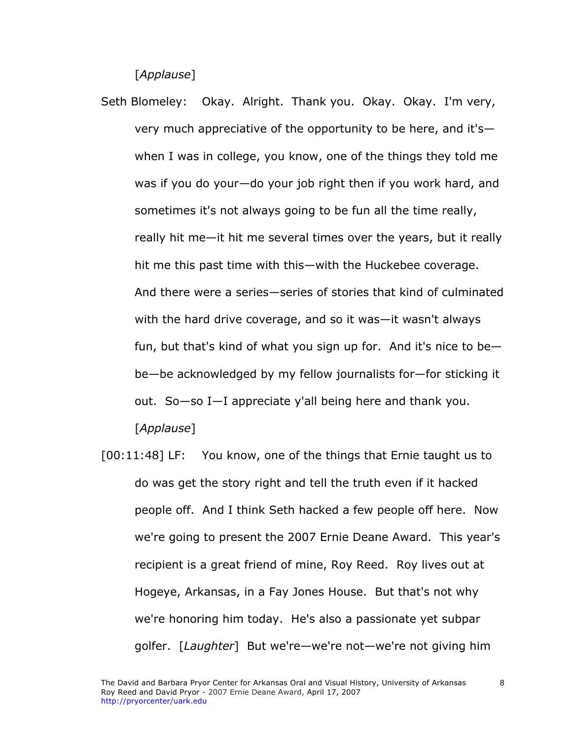[*Applause*]

- Seth Blomeley: Okay. Alright. Thank you. Okay. Okay. I'm very, very much appreciative of the opportunity to be here, and it's when I was in college, you know, one of the things they told me was if you do your—do your job right then if you work hard, and sometimes it's not always going to be fun all the time really, really hit me—it hit me several times over the years, but it really hit me this past time with this—with the Huckebee coverage. And there were a series—series of stories that kind of culminated with the hard drive coverage, and so it was—it wasn't always fun, but that's kind of what you sign up for. And it's nice to be be—be acknowledged by my fellow journalists for—for sticking it out. So—so I—I appreciate y'all being here and thank you. [*Applause*]
- [00:11:48] LF: You know, one of the things that Ernie taught us to do was get the story right and tell the truth even if it hacked people off. And I think Seth hacked a few people off here. Now we're going to present the 2007 Ernie Deane Award. This year's recipient is a great friend of mine, Roy Reed. Roy lives out at Hogeye, Arkansas, in a Fay Jones House. But that's not why we're honoring him today. He's also a passionate yet subpar golfer. [*Laughter*] But we're—we're not—we're not giving him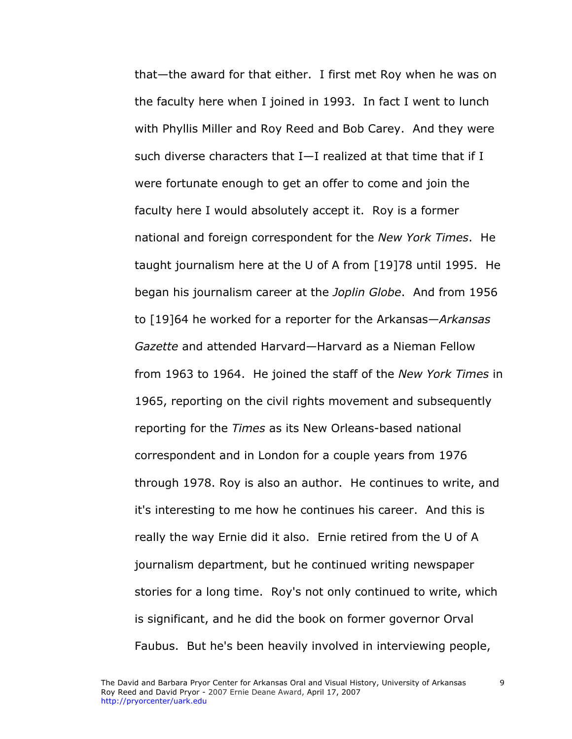that—the award for that either. I first met Roy when he was on the faculty here when I joined in 1993. In fact I went to lunch with Phyllis Miller and Roy Reed and Bob Carey. And they were such diverse characters that  $I-I$  realized at that time that if I were fortunate enough to get an offer to come and join the faculty here I would absolutely accept it. Roy is a former national and foreign correspondent for the *New York Times*. He taught journalism here at the U of A from [19]78 until 1995. He began his journalism career at the *Joplin Globe*. And from 1956 to [19]64 he worked for a reporter for the Arkansas—*Arkansas Gazette* and attended Harvard—Harvard as a Nieman Fellow from 1963 to 1964. He joined the staff of the *New York Times* in 1965, reporting on the civil rights movement and subsequently reporting for the *Times* as its New Orleans-based national correspondent and in London for a couple years from 1976 through 1978. Roy is also an author. He continues to write, and it's interesting to me how he continues his career. And this is really the way Ernie did it also. Ernie retired from the U of A journalism department, but he continued writing newspaper stories for a long time. Roy's not only continued to write, which is significant, and he did the book on former governor Orval Faubus. But he's been heavily involved in interviewing people,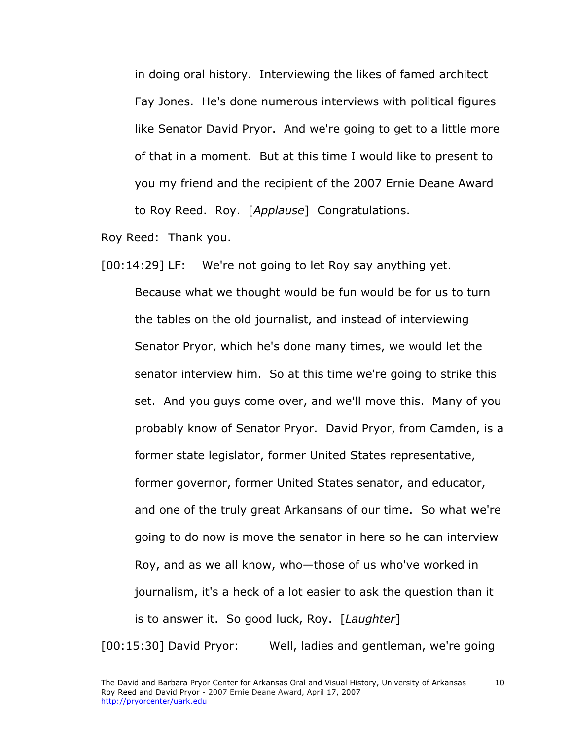in doing oral history. Interviewing the likes of famed architect Fay Jones. He's done numerous interviews with political figures like Senator David Pryor. And we're going to get to a little more of that in a moment. But at this time I would like to present to you my friend and the recipient of the 2007 Ernie Deane Award to Roy Reed. Roy. [*Applause*] Congratulations.

Roy Reed: Thank you.

[00:14:29] LF: We're not going to let Roy say anything yet. Because what we thought would be fun would be for us to turn the tables on the old journalist, and instead of interviewing Senator Pryor, which he's done many times, we would let the senator interview him. So at this time we're going to strike this set. And you guys come over, and we'll move this. Many of you probably know of Senator Pryor. David Pryor, from Camden, is a former state legislator, former United States representative, former governor, former United States senator, and educator, and one of the truly great Arkansans of our time. So what we're going to do now is move the senator in here so he can interview Roy, and as we all know, who—those of us who've worked in journalism, it's a heck of a lot easier to ask the question than it is to answer it. So good luck, Roy. [*Laughter*]

[00:15:30] David Pryor: Well, ladies and gentleman, we're going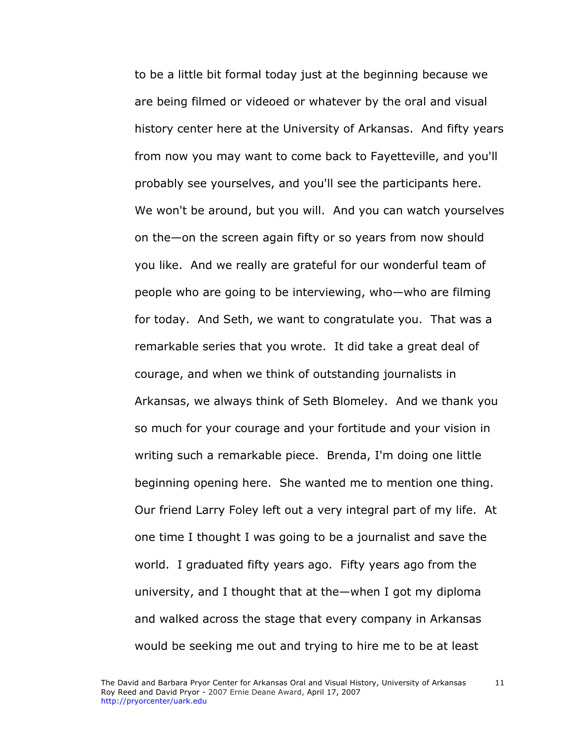to be a little bit formal today just at the beginning because we are being filmed or videoed or whatever by the oral and visual history center here at the University of Arkansas. And fifty years from now you may want to come back to Fayetteville, and you'll probably see yourselves, and you'll see the participants here. We won't be around, but you will. And you can watch yourselves on the—on the screen again fifty or so years from now should you like. And we really are grateful for our wonderful team of people who are going to be interviewing, who—who are filming for today. And Seth, we want to congratulate you. That was a remarkable series that you wrote. It did take a great deal of courage, and when we think of outstanding journalists in Arkansas, we always think of Seth Blomeley. And we thank you so much for your courage and your fortitude and your vision in writing such a remarkable piece. Brenda, I'm doing one little beginning opening here. She wanted me to mention one thing. Our friend Larry Foley left out a very integral part of my life. At one time I thought I was going to be a journalist and save the world. I graduated fifty years ago. Fifty years ago from the university, and I thought that at the—when I got my diploma and walked across the stage that every company in Arkansas would be seeking me out and trying to hire me to be at least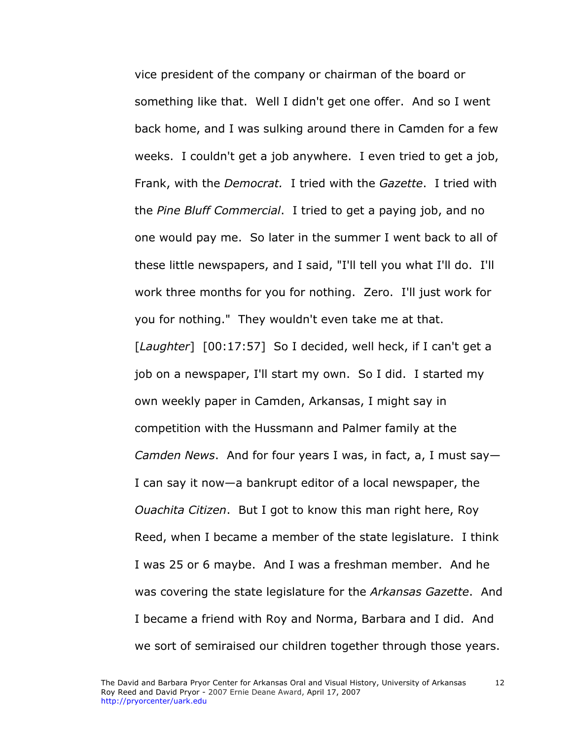vice president of the company or chairman of the board or something like that. Well I didn't get one offer. And so I went back home, and I was sulking around there in Camden for a few weeks. I couldn't get a job anywhere. I even tried to get a job, Frank, with the *Democrat.* I tried with the *Gazette*. I tried with the *Pine Bluff Commercial*. I tried to get a paying job, and no one would pay me. So later in the summer I went back to all of these little newspapers, and I said, "I'll tell you what I'll do. I'll work three months for you for nothing. Zero. I'll just work for you for nothing." They wouldn't even take me at that. [Laughter] [00:17:57] So I decided, well heck, if I can't get a job on a newspaper, I'll start my own. So I did. I started my own weekly paper in Camden, Arkansas, I might say in competition with the Hussmann and Palmer family at the *Camden News*. And for four years I was, in fact, a, I must say— I can say it now—a bankrupt editor of a local newspaper, the *Ouachita Citizen*. But I got to know this man right here, Roy Reed, when I became a member of the state legislature. I think I was 25 or 6 maybe. And I was a freshman member. And he was covering the state legislature for the *Arkansas Gazette*. And I became a friend with Roy and Norma, Barbara and I did. And we sort of semiraised our children together through those years.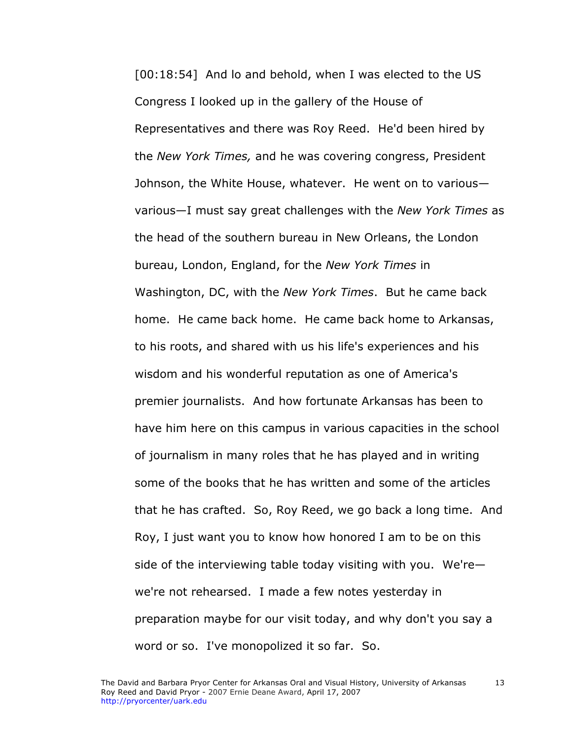[00:18:54] And lo and behold, when I was elected to the US Congress I looked up in the gallery of the House of Representatives and there was Roy Reed. He'd been hired by the *New York Times,* and he was covering congress, President Johnson, the White House, whatever. He went on to various various—I must say great challenges with the *New York Times* as the head of the southern bureau in New Orleans, the London bureau, London, England, for the *New York Times* in Washington, DC, with the *New York Times*. But he came back home. He came back home. He came back home to Arkansas, to his roots, and shared with us his life's experiences and his wisdom and his wonderful reputation as one of America's premier journalists. And how fortunate Arkansas has been to have him here on this campus in various capacities in the school of journalism in many roles that he has played and in writing some of the books that he has written and some of the articles that he has crafted. So, Roy Reed, we go back a long time. And Roy, I just want you to know how honored I am to be on this side of the interviewing table today visiting with you. We're we're not rehearsed. I made a few notes yesterday in preparation maybe for our visit today, and why don't you say a word or so. I've monopolized it so far. So.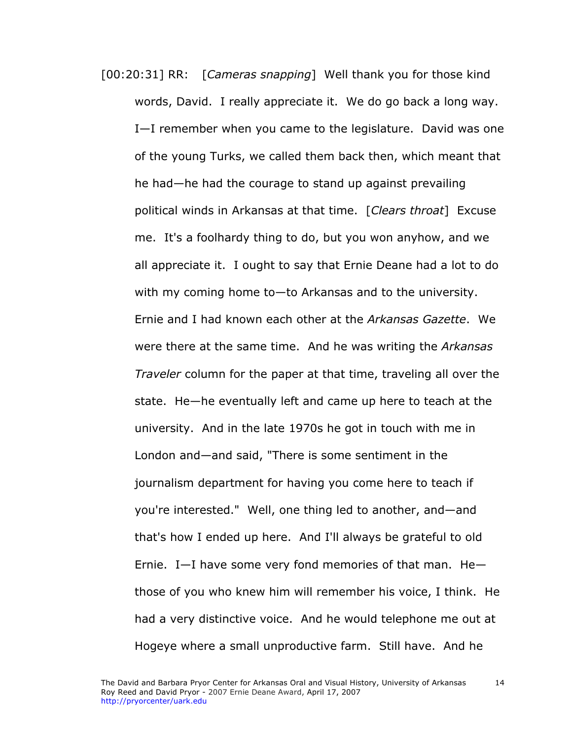[00:20:31] RR: [*Cameras snapping*] Well thank you for those kind words, David. I really appreciate it. We do go back a long way. I—I remember when you came to the legislature. David was one of the young Turks, we called them back then, which meant that he had—he had the courage to stand up against prevailing political winds in Arkansas at that time. [*Clears throat*] Excuse me. It's a foolhardy thing to do, but you won anyhow, and we all appreciate it. I ought to say that Ernie Deane had a lot to do with my coming home to—to Arkansas and to the university. Ernie and I had known each other at the *Arkansas Gazette*. We were there at the same time. And he was writing the *Arkansas Traveler* column for the paper at that time, traveling all over the state. He—he eventually left and came up here to teach at the university. And in the late 1970s he got in touch with me in London and—and said, "There is some sentiment in the journalism department for having you come here to teach if you're interested." Well, one thing led to another, and—and that's how I ended up here. And I'll always be grateful to old Ernie. I—I have some very fond memories of that man. He those of you who knew him will remember his voice, I think. He had a very distinctive voice. And he would telephone me out at Hogeye where a small unproductive farm. Still have. And he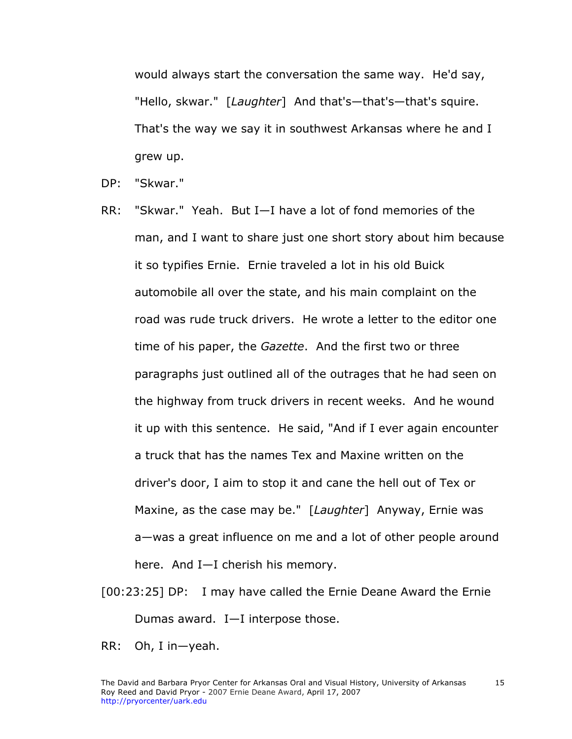would always start the conversation the same way. He'd say, "Hello, skwar." [*Laughter*] And that's—that's—that's squire. That's the way we say it in southwest Arkansas where he and I grew up.

- DP: "Skwar."
- RR: "Skwar." Yeah. But I—I have a lot of fond memories of the man, and I want to share just one short story about him because it so typifies Ernie. Ernie traveled a lot in his old Buick automobile all over the state, and his main complaint on the road was rude truck drivers. He wrote a letter to the editor one time of his paper, the *Gazette*. And the first two or three paragraphs just outlined all of the outrages that he had seen on the highway from truck drivers in recent weeks. And he wound it up with this sentence. He said, "And if I ever again encounter a truck that has the names Tex and Maxine written on the driver's door, I aim to stop it and cane the hell out of Tex or Maxine, as the case may be." [*Laughter*] Anyway, Ernie was a—was a great influence on me and a lot of other people around here. And I—I cherish his memory.
- [00:23:25] DP: I may have called the Ernie Deane Award the Ernie Dumas award. I—I interpose those.
- RR: Oh, I in—yeah.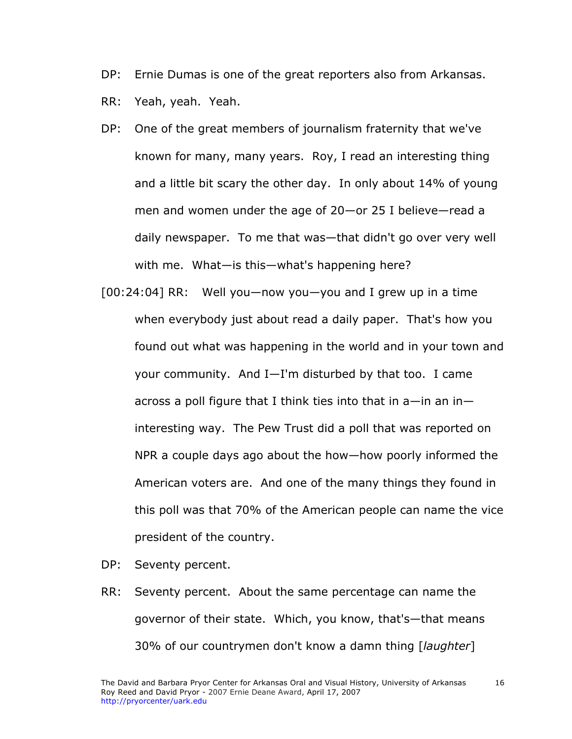DP: Ernie Dumas is one of the great reporters also from Arkansas.

RR: Yeah, yeah. Yeah.

- DP: One of the great members of journalism fraternity that we've known for many, many years. Roy, I read an interesting thing and a little bit scary the other day. In only about 14% of young men and women under the age of 20—or 25 I believe—read a daily newspaper. To me that was—that didn't go over very well with me. What—is this—what's happening here?
- [00:24:04] RR: Well you—now you—you and I grew up in a time when everybody just about read a daily paper. That's how you found out what was happening in the world and in your town and your community. And I—I'm disturbed by that too. I came across a poll figure that I think ties into that in  $a$ —in an in interesting way. The Pew Trust did a poll that was reported on NPR a couple days ago about the how—how poorly informed the American voters are. And one of the many things they found in this poll was that 70% of the American people can name the vice president of the country.
- DP: Seventy percent.
- RR: Seventy percent. About the same percentage can name the governor of their state. Which, you know, that's—that means 30% of our countrymen don't know a damn thing [*laughter*]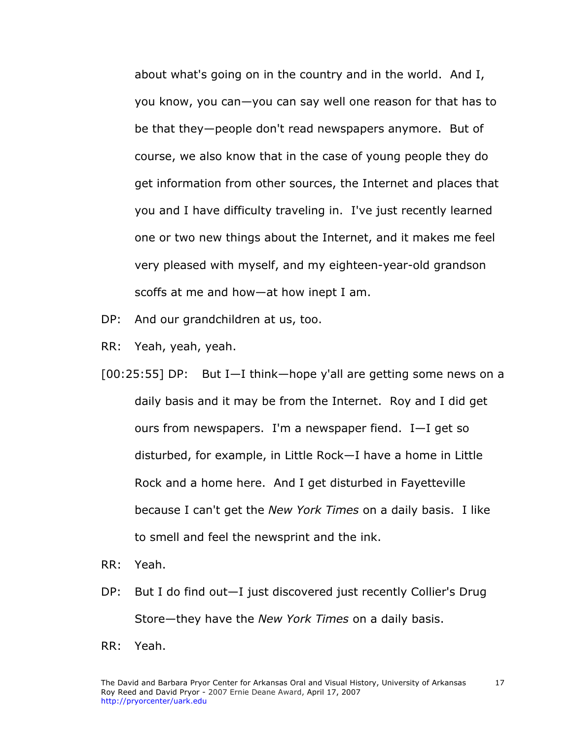about what's going on in the country and in the world. And I, you know, you can—you can say well one reason for that has to be that they—people don't read newspapers anymore. But of course, we also know that in the case of young people they do get information from other sources, the Internet and places that you and I have difficulty traveling in. I've just recently learned one or two new things about the Internet, and it makes me feel very pleased with myself, and my eighteen-year-old grandson scoffs at me and how—at how inept I am.

- DP: And our grandchildren at us, too.
- RR: Yeah, yeah, yeah.
- [00:25:55] DP: But I—I think—hope y'all are getting some news on a daily basis and it may be from the Internet. Roy and I did get ours from newspapers. I'm a newspaper fiend. I—I get so disturbed, for example, in Little Rock—I have a home in Little Rock and a home here. And I get disturbed in Fayetteville because I can't get the *New York Times* on a daily basis. I like to smell and feel the newsprint and the ink.
- RR: Yeah.
- DP: But I do find out—I just discovered just recently Collier's Drug Store—they have the *New York Times* on a daily basis.
- RR: Yeah.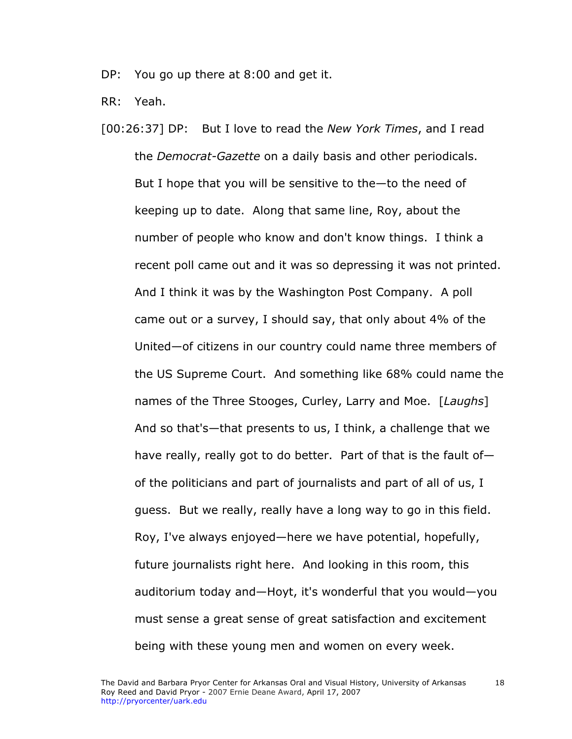DP: You go up there at 8:00 and get it.

RR: Yeah.

[00:26:37] DP: But I love to read the *New York Times*, and I read the *Democrat-Gazette* on a daily basis and other periodicals. But I hope that you will be sensitive to the—to the need of keeping up to date. Along that same line, Roy, about the number of people who know and don't know things. I think a recent poll came out and it was so depressing it was not printed. And I think it was by the Washington Post Company. A poll came out or a survey, I should say, that only about 4% of the United—of citizens in our country could name three members of the US Supreme Court. And something like 68% could name the names of the Three Stooges, Curley, Larry and Moe. [*Laughs*] And so that's—that presents to us, I think, a challenge that we have really, really got to do better. Part of that is the fault of of the politicians and part of journalists and part of all of us, I guess. But we really, really have a long way to go in this field. Roy, I've always enjoyed—here we have potential, hopefully, future journalists right here. And looking in this room, this auditorium today and—Hoyt, it's wonderful that you would—you must sense a great sense of great satisfaction and excitement being with these young men and women on every week.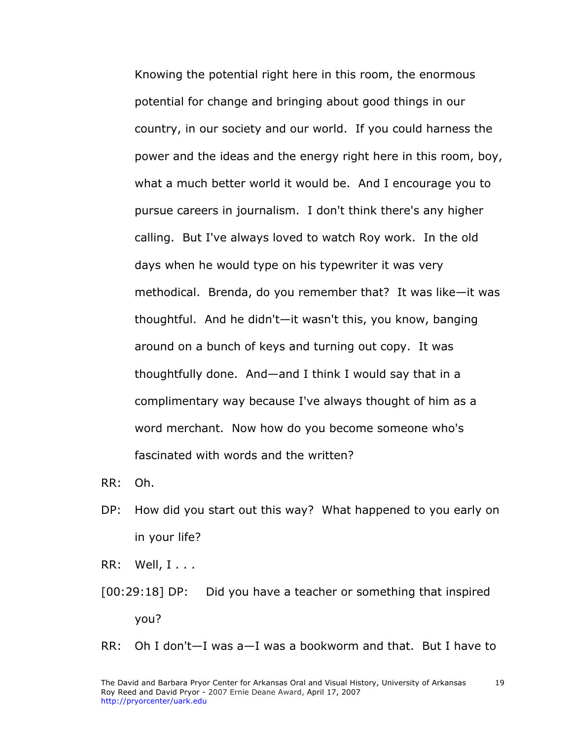Knowing the potential right here in this room, the enormous potential for change and bringing about good things in our country, in our society and our world. If you could harness the power and the ideas and the energy right here in this room, boy, what a much better world it would be. And I encourage you to pursue careers in journalism. I don't think there's any higher calling. But I've always loved to watch Roy work. In the old days when he would type on his typewriter it was very methodical. Brenda, do you remember that? It was like—it was thoughtful. And he didn't—it wasn't this, you know, banging around on a bunch of keys and turning out copy. It was thoughtfully done. And—and I think I would say that in a complimentary way because I've always thought of him as a word merchant. Now how do you become someone who's fascinated with words and the written?

RR: Oh.

- DP: How did you start out this way? What happened to you early on in your life?
- RR: Well, I . . .
- [00:29:18] DP: Did you have a teacher or something that inspired you?

RR: Oh I don't—I was a—I was a bookworm and that. But I have to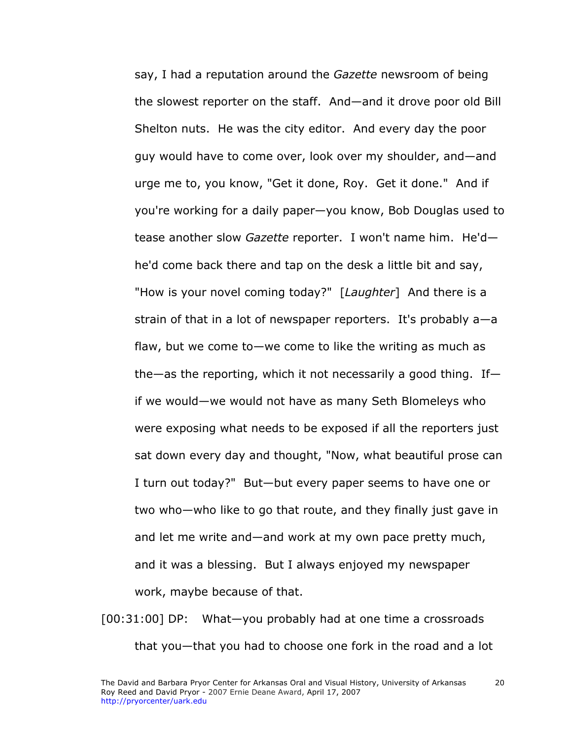say, I had a reputation around the *Gazette* newsroom of being the slowest reporter on the staff. And—and it drove poor old Bill Shelton nuts. He was the city editor. And every day the poor guy would have to come over, look over my shoulder, and—and urge me to, you know, "Get it done, Roy. Get it done." And if you're working for a daily paper—you know, Bob Douglas used to tease another slow *Gazette* reporter. I won't name him. He'd he'd come back there and tap on the desk a little bit and say, "How is your novel coming today?" [*Laughter*] And there is a strain of that in a lot of newspaper reporters. It's probably a—a flaw, but we come to—we come to like the writing as much as the—as the reporting, which it not necessarily a good thing. If if we would—we would not have as many Seth Blomeleys who were exposing what needs to be exposed if all the reporters just sat down every day and thought, "Now, what beautiful prose can I turn out today?" But—but every paper seems to have one or two who—who like to go that route, and they finally just gave in and let me write and—and work at my own pace pretty much, and it was a blessing. But I always enjoyed my newspaper work, maybe because of that.

[00:31:00] DP: What—you probably had at one time a crossroads that you—that you had to choose one fork in the road and a lot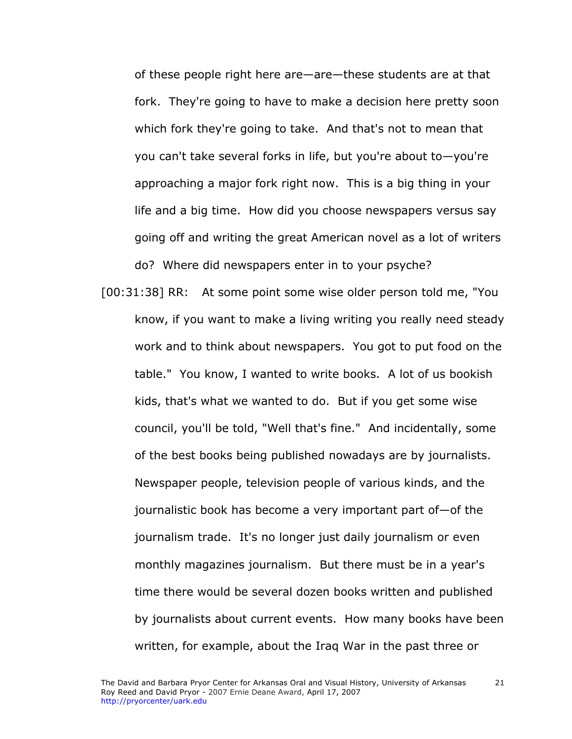of these people right here are—are—these students are at that fork. They're going to have to make a decision here pretty soon which fork they're going to take. And that's not to mean that you can't take several forks in life, but you're about to—you're approaching a major fork right now. This is a big thing in your life and a big time. How did you choose newspapers versus say going off and writing the great American novel as a lot of writers do? Where did newspapers enter in to your psyche?

[00:31:38] RR: At some point some wise older person told me, "You know, if you want to make a living writing you really need steady work and to think about newspapers. You got to put food on the table." You know, I wanted to write books. A lot of us bookish kids, that's what we wanted to do. But if you get some wise council, you'll be told, "Well that's fine." And incidentally, some of the best books being published nowadays are by journalists. Newspaper people, television people of various kinds, and the journalistic book has become a very important part of—of the journalism trade. It's no longer just daily journalism or even monthly magazines journalism. But there must be in a year's time there would be several dozen books written and published by journalists about current events. How many books have been written, for example, about the Iraq War in the past three or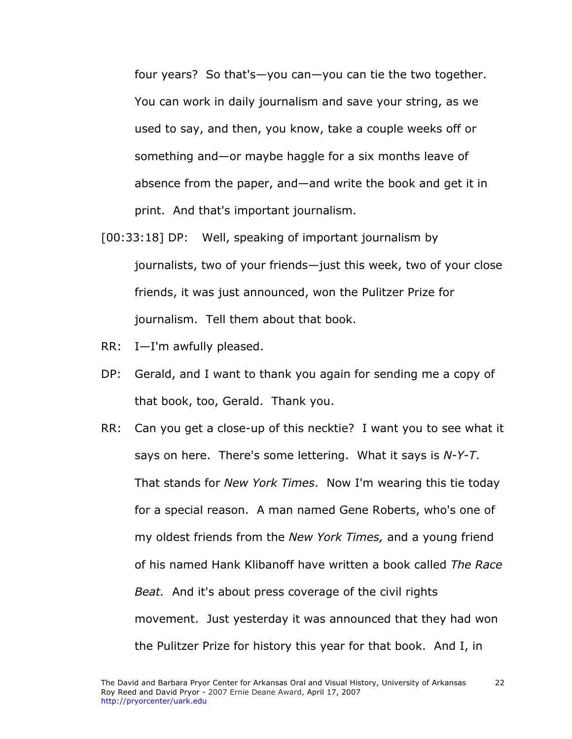four years? So that's—you can—you can tie the two together. You can work in daily journalism and save your string, as we used to say, and then, you know, take a couple weeks off or something and—or maybe haggle for a six months leave of absence from the paper, and—and write the book and get it in print. And that's important journalism.

- [00:33:18] DP: Well, speaking of important journalism by journalists, two of your friends—just this week, two of your close friends, it was just announced, won the Pulitzer Prize for journalism. Tell them about that book.
- RR: I—I'm awfully pleased.
- DP: Gerald, and I want to thank you again for sending me a copy of that book, too, Gerald. Thank you.
- RR: Can you get a close-up of this necktie? I want you to see what it says on here. There's some lettering. What it says is *N*-*Y*-*T*. That stands for *New York Times*. Now I'm wearing this tie today for a special reason. A man named Gene Roberts, who's one of my oldest friends from the *New York Times,* and a young friend of his named Hank Klibanoff have written a book called *The Race Beat.* And it's about press coverage of the civil rights movement. Just yesterday it was announced that they had won the Pulitzer Prize for history this year for that book. And I, in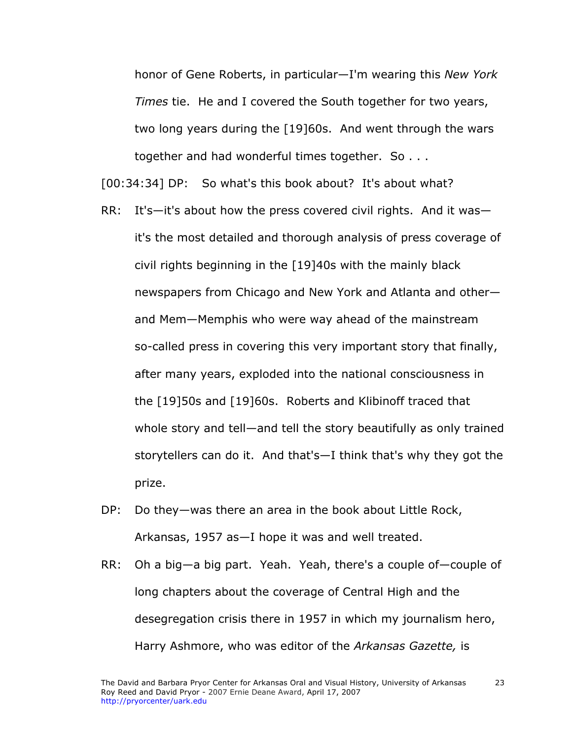honor of Gene Roberts, in particular—I'm wearing this *New York Times* tie. He and I covered the South together for two years, two long years during the [19]60s. And went through the wars together and had wonderful times together. So . . .

[00:34:34] DP: So what's this book about? It's about what?

- RR: It's—it's about how the press covered civil rights. And it was it's the most detailed and thorough analysis of press coverage of civil rights beginning in the [19]40s with the mainly black newspapers from Chicago and New York and Atlanta and other and Mem—Memphis who were way ahead of the mainstream so-called press in covering this very important story that finally, after many years, exploded into the national consciousness in the [19]50s and [19]60s. Roberts and Klibinoff traced that whole story and tell—and tell the story beautifully as only trained storytellers can do it. And that's—I think that's why they got the prize.
- DP: Do they—was there an area in the book about Little Rock, Arkansas, 1957 as—I hope it was and well treated.
- RR: Oh a big—a big part. Yeah. Yeah, there's a couple of—couple of long chapters about the coverage of Central High and the desegregation crisis there in 1957 in which my journalism hero, Harry Ashmore, who was editor of the *Arkansas Gazette,* is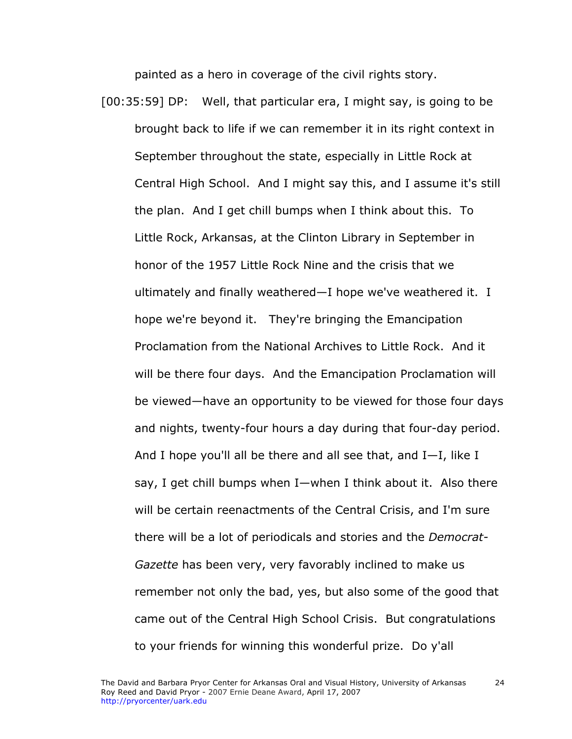painted as a hero in coverage of the civil rights story.

[00:35:59] DP: Well, that particular era, I might say, is going to be brought back to life if we can remember it in its right context in September throughout the state, especially in Little Rock at Central High School. And I might say this, and I assume it's still the plan. And I get chill bumps when I think about this. To Little Rock, Arkansas, at the Clinton Library in September in honor of the 1957 Little Rock Nine and the crisis that we ultimately and finally weathered—I hope we've weathered it. I hope we're beyond it. They're bringing the Emancipation Proclamation from the National Archives to Little Rock. And it will be there four days. And the Emancipation Proclamation will be viewed—have an opportunity to be viewed for those four days and nights, twenty-four hours a day during that four-day period. And I hope you'll all be there and all see that, and I—I, like I say, I get chill bumps when I—when I think about it. Also there will be certain reenactments of the Central Crisis, and I'm sure there will be a lot of periodicals and stories and the *Democrat-Gazette* has been very, very favorably inclined to make us remember not only the bad, yes, but also some of the good that came out of the Central High School Crisis. But congratulations to your friends for winning this wonderful prize. Do y'all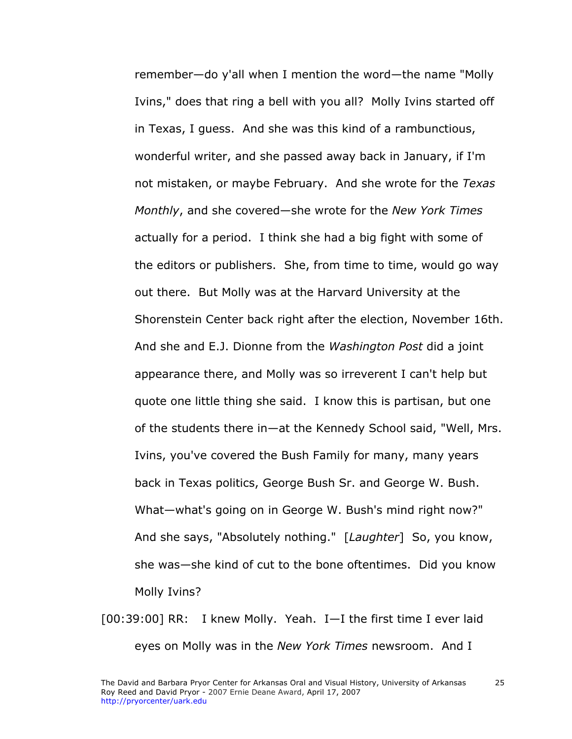remember—do y'all when I mention the word—the name "Molly Ivins," does that ring a bell with you all? Molly Ivins started off in Texas, I guess. And she was this kind of a rambunctious, wonderful writer, and she passed away back in January, if I'm not mistaken, or maybe February. And she wrote for the *Texas Monthly*, and she covered—she wrote for the *New York Times* actually for a period. I think she had a big fight with some of the editors or publishers. She, from time to time, would go way out there. But Molly was at the Harvard University at the Shorenstein Center back right after the election, November 16th. And she and E.J. Dionne from the *Washington Post* did a joint appearance there, and Molly was so irreverent I can't help but quote one little thing she said. I know this is partisan, but one of the students there in—at the Kennedy School said, "Well, Mrs. Ivins, you've covered the Bush Family for many, many years back in Texas politics, George Bush Sr. and George W. Bush. What—what's going on in George W. Bush's mind right now?" And she says, "Absolutely nothing." [*Laughter*] So, you know, she was—she kind of cut to the bone oftentimes. Did you know Molly Ivins?

[00:39:00] RR: I knew Molly. Yeah. I—I the first time I ever laid eyes on Molly was in the *New York Times* newsroom. And I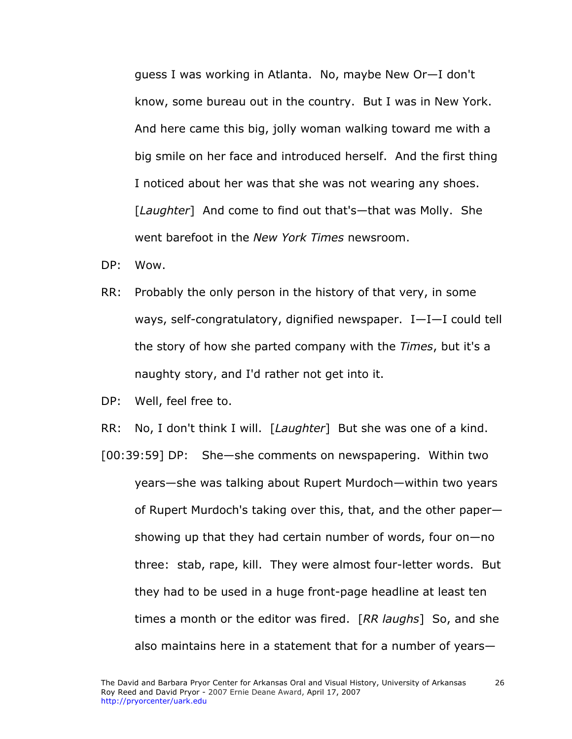guess I was working in Atlanta. No, maybe New Or—I don't know, some bureau out in the country. But I was in New York. And here came this big, jolly woman walking toward me with a big smile on her face and introduced herself. And the first thing I noticed about her was that she was not wearing any shoes. [*Laughter*] And come to find out that's—that was Molly. She went barefoot in the *New York Times* newsroom.

DP: Wow.

RR: Probably the only person in the history of that very, in some ways, self-congratulatory, dignified newspaper. I—I—I could tell the story of how she parted company with the *Times*, but it's a naughty story, and I'd rather not get into it.

DP: Well, feel free to.

RR: No, I don't think I will. [*Laughter*] But she was one of a kind. [00:39:59] DP: She—she comments on newspapering. Within two years—she was talking about Rupert Murdoch—within two years of Rupert Murdoch's taking over this, that, and the other paper showing up that they had certain number of words, four on—no three: stab, rape, kill. They were almost four-letter words. But they had to be used in a huge front-page headline at least ten times a month or the editor was fired. [*RR laughs*] So, and she also maintains here in a statement that for a number of years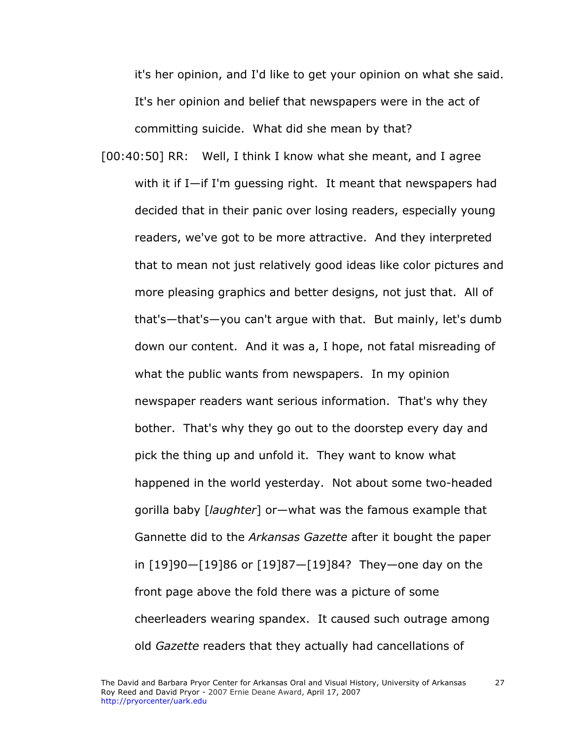it's her opinion, and I'd like to get your opinion on what she said. It's her opinion and belief that newspapers were in the act of committing suicide. What did she mean by that?

[00:40:50] RR: Well, I think I know what she meant, and I agree with it if I—if I'm guessing right. It meant that newspapers had decided that in their panic over losing readers, especially young readers, we've got to be more attractive. And they interpreted that to mean not just relatively good ideas like color pictures and more pleasing graphics and better designs, not just that. All of that's—that's—you can't argue with that. But mainly, let's dumb down our content. And it was a, I hope, not fatal misreading of what the public wants from newspapers. In my opinion newspaper readers want serious information. That's why they bother. That's why they go out to the doorstep every day and pick the thing up and unfold it. They want to know what happened in the world yesterday. Not about some two-headed gorilla baby [*laughter*] or—what was the famous example that Gannette did to the *Arkansas Gazette* after it bought the paper in [19]90—[19]86 or [19]87—[19]84? They—one day on the front page above the fold there was a picture of some cheerleaders wearing spandex. It caused such outrage among old *Gazette* readers that they actually had cancellations of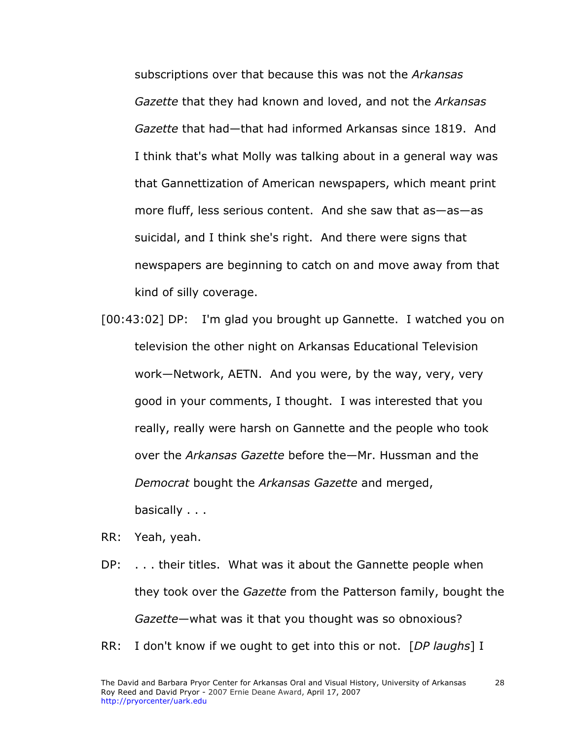subscriptions over that because this was not the *Arkansas Gazette* that they had known and loved, and not the *Arkansas Gazette* that had—that had informed Arkansas since 1819. And I think that's what Molly was talking about in a general way was that Gannettization of American newspapers, which meant print more fluff, less serious content. And she saw that as—as—as suicidal, and I think she's right. And there were signs that newspapers are beginning to catch on and move away from that kind of silly coverage.

- [00:43:02] DP: I'm glad you brought up Gannette. I watched you on television the other night on Arkansas Educational Television work—Network, AETN. And you were, by the way, very, very good in your comments, I thought. I was interested that you really, really were harsh on Gannette and the people who took over the *Arkansas Gazette* before the—Mr. Hussman and the *Democrat* bought the *Arkansas Gazette* and merged, basically . . .
- RR: Yeah, yeah.
- DP: ... their titles. What was it about the Gannette people when they took over the *Gazette* from the Patterson family, bought the *Gazette*—what was it that you thought was so obnoxious?
- RR: I don't know if we ought to get into this or not. [*DP laughs*] I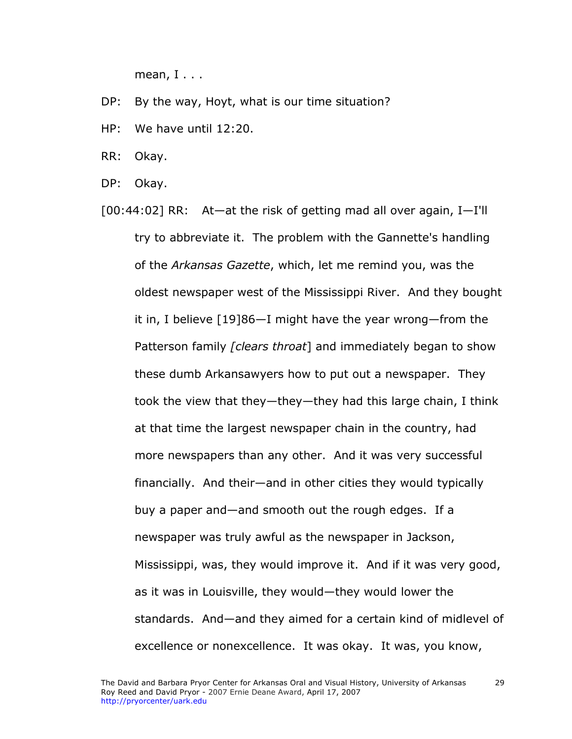mean, I . . .

- DP: By the way, Hoyt, what is our time situation?
- HP: We have until 12:20.
- RR: Okay.
- DP: Okay.
- $[00:44:02]$  RR: At—at the risk of getting mad all over again, I—I'll try to abbreviate it. The problem with the Gannette's handling of the *Arkansas Gazette*, which, let me remind you, was the oldest newspaper west of the Mississippi River. And they bought it in, I believe [19]86—I might have the year wrong—from the Patterson family *[clears throat*] and immediately began to show these dumb Arkansawyers how to put out a newspaper. They took the view that they—they—they had this large chain, I think at that time the largest newspaper chain in the country, had more newspapers than any other. And it was very successful financially. And their—and in other cities they would typically buy a paper and—and smooth out the rough edges. If a newspaper was truly awful as the newspaper in Jackson, Mississippi, was, they would improve it. And if it was very good, as it was in Louisville, they would—they would lower the standards. And—and they aimed for a certain kind of midlevel of excellence or nonexcellence. It was okay. It was, you know,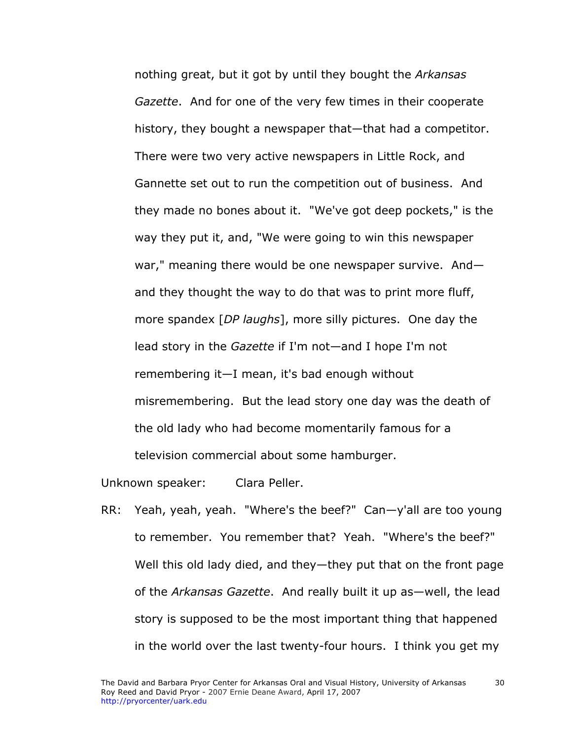nothing great, but it got by until they bought the *Arkansas Gazette*. And for one of the very few times in their cooperate history, they bought a newspaper that—that had a competitor. There were two very active newspapers in Little Rock, and Gannette set out to run the competition out of business. And they made no bones about it. "We've got deep pockets," is the way they put it, and, "We were going to win this newspaper war," meaning there would be one newspaper survive. And and they thought the way to do that was to print more fluff, more spandex [*DP laughs*], more silly pictures. One day the lead story in the *Gazette* if I'm not—and I hope I'm not remembering it—I mean, it's bad enough without misremembering. But the lead story one day was the death of the old lady who had become momentarily famous for a television commercial about some hamburger.

Unknown speaker: Clara Peller.

RR: Yeah, yeah, yeah. "Where's the beef?" Can—y'all are too young to remember. You remember that? Yeah. "Where's the beef?" Well this old lady died, and they—they put that on the front page of the *Arkansas Gazette*. And really built it up as—well, the lead story is supposed to be the most important thing that happened in the world over the last twenty-four hours. I think you get my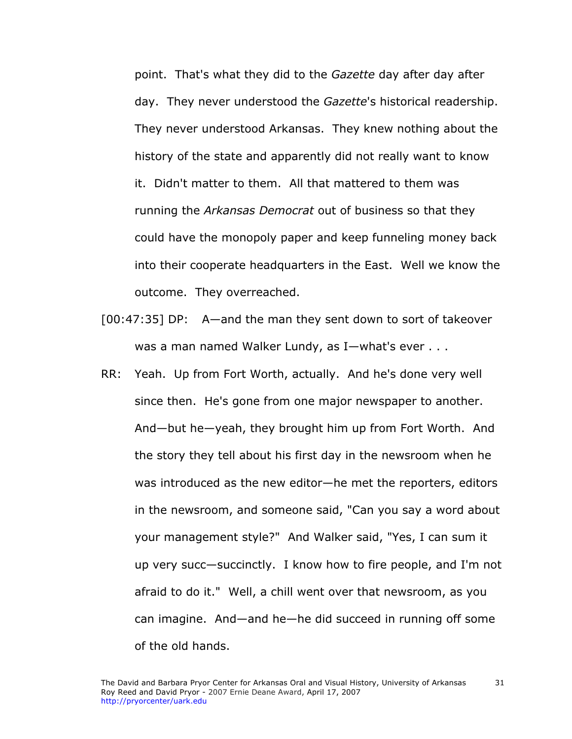point. That's what they did to the *Gazette* day after day after day. They never understood the *Gazette*'s historical readership. They never understood Arkansas. They knew nothing about the history of the state and apparently did not really want to know it. Didn't matter to them. All that mattered to them was running the *Arkansas Democrat* out of business so that they could have the monopoly paper and keep funneling money back into their cooperate headquarters in the East. Well we know the outcome. They overreached.

- [00:47:35] DP: A—and the man they sent down to sort of takeover was a man named Walker Lundy, as I—what's ever . . .
- RR: Yeah. Up from Fort Worth, actually. And he's done very well since then. He's gone from one major newspaper to another. And—but he—yeah, they brought him up from Fort Worth. And the story they tell about his first day in the newsroom when he was introduced as the new editor—he met the reporters, editors in the newsroom, and someone said, "Can you say a word about your management style?" And Walker said, "Yes, I can sum it up very succ—succinctly. I know how to fire people, and I'm not afraid to do it." Well, a chill went over that newsroom, as you can imagine. And—and he—he did succeed in running off some of the old hands.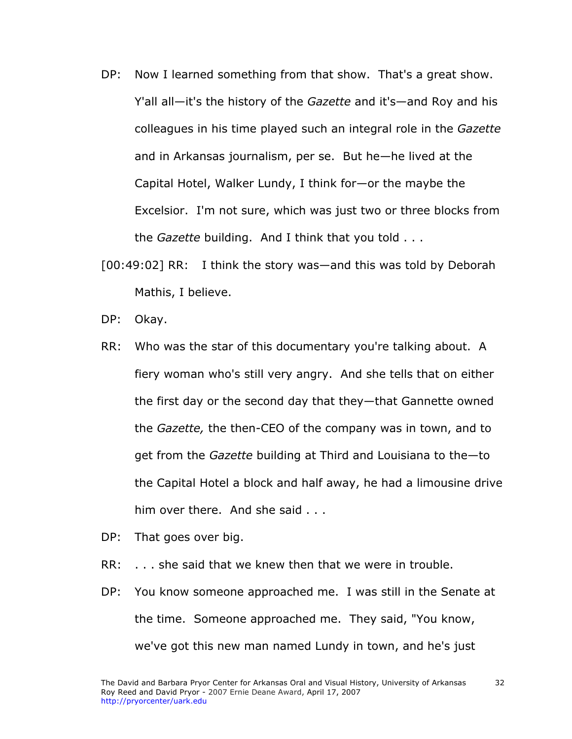- DP: Now I learned something from that show. That's a great show. Y'all all—it's the history of the *Gazette* and it's—and Roy and his colleagues in his time played such an integral role in the *Gazette* and in Arkansas journalism, per se. But he—he lived at the Capital Hotel, Walker Lundy, I think for—or the maybe the Excelsior. I'm not sure, which was just two or three blocks from the *Gazette* building. And I think that you told . . .
- [00:49:02] RR: I think the story was—and this was told by Deborah Mathis, I believe.
- DP: Okay.
- RR: Who was the star of this documentary you're talking about. A fiery woman who's still very angry. And she tells that on either the first day or the second day that they—that Gannette owned the *Gazette,* the then-CEO of the company was in town, and to get from the *Gazette* building at Third and Louisiana to the—to the Capital Hotel a block and half away, he had a limousine drive him over there. And she said . . .
- DP: That goes over big.
- RR: . . . she said that we knew then that we were in trouble.
- DP: You know someone approached me. I was still in the Senate at the time. Someone approached me. They said, "You know, we've got this new man named Lundy in town, and he's just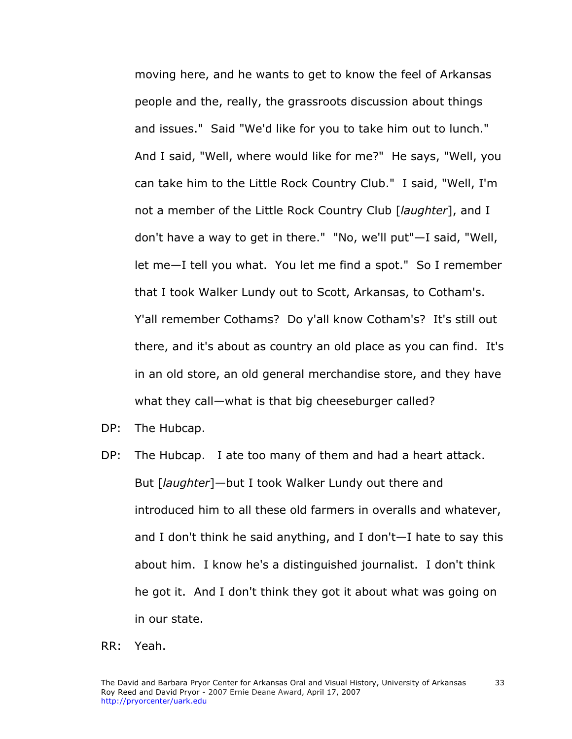moving here, and he wants to get to know the feel of Arkansas people and the, really, the grassroots discussion about things and issues." Said "We'd like for you to take him out to lunch." And I said, "Well, where would like for me?" He says, "Well, you can take him to the Little Rock Country Club." I said, "Well, I'm not a member of the Little Rock Country Club [*laughter*], and I don't have a way to get in there." "No, we'll put"—I said, "Well, let me—I tell you what. You let me find a spot." So I remember that I took Walker Lundy out to Scott, Arkansas, to Cotham's. Y'all remember Cothams? Do y'all know Cotham's? It's still out there, and it's about as country an old place as you can find. It's in an old store, an old general merchandise store, and they have what they call—what is that big cheeseburger called?

- DP: The Hubcap.
- DP: The Hubcap. I ate too many of them and had a heart attack. But [*laughter*]—but I took Walker Lundy out there and introduced him to all these old farmers in overalls and whatever, and I don't think he said anything, and I don't—I hate to say this about him. I know he's a distinguished journalist. I don't think he got it. And I don't think they got it about what was going on in our state.
- RR: Yeah.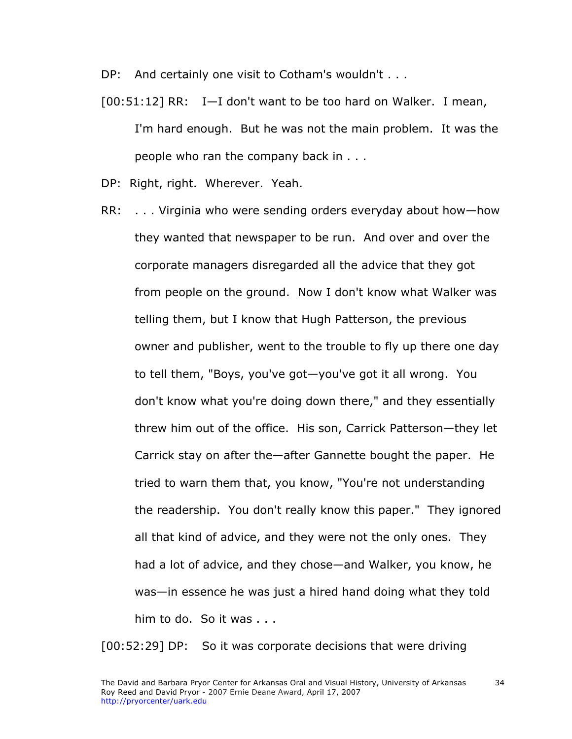DP: And certainly one visit to Cotham's wouldn't . . .

- [00:51:12] RR: I—I don't want to be too hard on Walker. I mean, I'm hard enough. But he was not the main problem. It was the people who ran the company back in . . .
- DP: Right, right. Wherever. Yeah.
- RR: . . . Virginia who were sending orders everyday about how—how they wanted that newspaper to be run. And over and over the corporate managers disregarded all the advice that they got from people on the ground. Now I don't know what Walker was telling them, but I know that Hugh Patterson, the previous owner and publisher, went to the trouble to fly up there one day to tell them, "Boys, you've got—you've got it all wrong. You don't know what you're doing down there," and they essentially threw him out of the office. His son, Carrick Patterson—they let Carrick stay on after the—after Gannette bought the paper. He tried to warn them that, you know, "You're not understanding the readership. You don't really know this paper." They ignored all that kind of advice, and they were not the only ones. They had a lot of advice, and they chose—and Walker, you know, he was—in essence he was just a hired hand doing what they told him to do. So it was . . .

[00:52:29] DP: So it was corporate decisions that were driving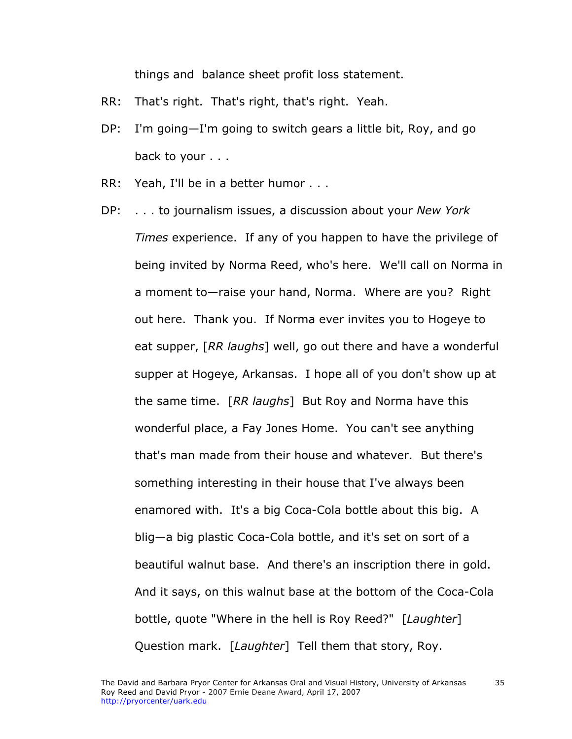things and balance sheet profit loss statement.

- RR: That's right. That's right, that's right. Yeah.
- DP: I'm going—I'm going to switch gears a little bit, Roy, and go back to your . . .
- RR: Yeah, I'll be in a better humor . . .
- DP: . . . to journalism issues, a discussion about your *New York Times* experience. If any of you happen to have the privilege of being invited by Norma Reed, who's here. We'll call on Norma in a moment to—raise your hand, Norma. Where are you? Right out here. Thank you. If Norma ever invites you to Hogeye to eat supper, [*RR laughs*] well, go out there and have a wonderful supper at Hogeye, Arkansas. I hope all of you don't show up at the same time. [*RR laughs*] But Roy and Norma have this wonderful place, a Fay Jones Home. You can't see anything that's man made from their house and whatever. But there's something interesting in their house that I've always been enamored with. It's a big Coca-Cola bottle about this big. A blig—a big plastic Coca-Cola bottle, and it's set on sort of a beautiful walnut base. And there's an inscription there in gold. And it says, on this walnut base at the bottom of the Coca-Cola bottle, quote "Where in the hell is Roy Reed?" [*Laughter*] Question mark. [*Laughter*] Tell them that story, Roy.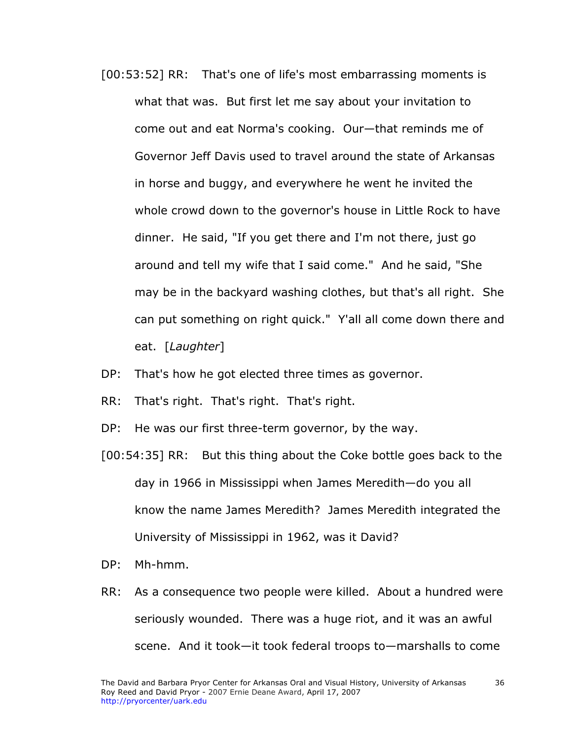- [00:53:52] RR: That's one of life's most embarrassing moments is what that was. But first let me say about your invitation to come out and eat Norma's cooking. Our—that reminds me of Governor Jeff Davis used to travel around the state of Arkansas in horse and buggy, and everywhere he went he invited the whole crowd down to the governor's house in Little Rock to have dinner. He said, "If you get there and I'm not there, just go around and tell my wife that I said come." And he said, "She may be in the backyard washing clothes, but that's all right. She can put something on right quick." Y'all all come down there and eat. [*Laughter*]
- DP: That's how he got elected three times as governor.
- RR: That's right. That's right. That's right.
- DP: He was our first three-term governor, by the way.
- [00:54:35] RR: But this thing about the Coke bottle goes back to the day in 1966 in Mississippi when James Meredith—do you all know the name James Meredith? James Meredith integrated the University of Mississippi in 1962, was it David?
- DP: Mh-hmm.
- RR: As a consequence two people were killed. About a hundred were seriously wounded. There was a huge riot, and it was an awful scene. And it took—it took federal troops to—marshalls to come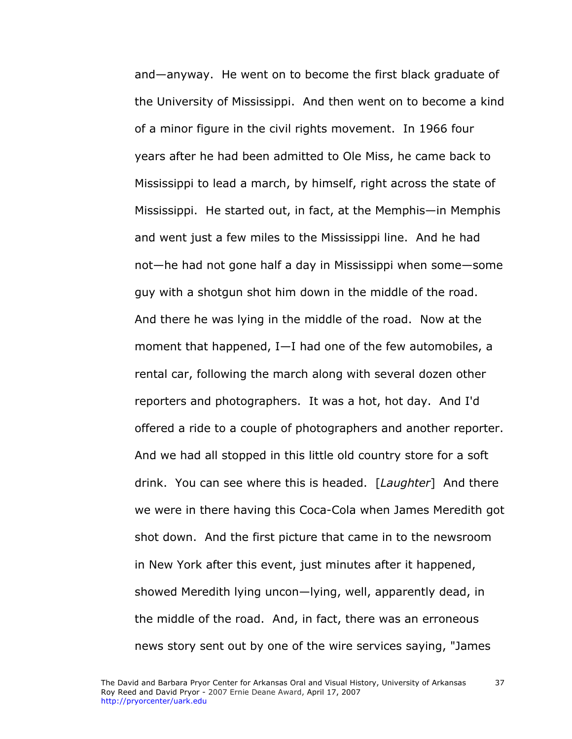and—anyway. He went on to become the first black graduate of the University of Mississippi. And then went on to become a kind of a minor figure in the civil rights movement. In 1966 four years after he had been admitted to Ole Miss, he came back to Mississippi to lead a march, by himself, right across the state of Mississippi. He started out, in fact, at the Memphis—in Memphis and went just a few miles to the Mississippi line. And he had not—he had not gone half a day in Mississippi when some—some guy with a shotgun shot him down in the middle of the road. And there he was lying in the middle of the road. Now at the moment that happened, I—I had one of the few automobiles, a rental car, following the march along with several dozen other reporters and photographers. It was a hot, hot day. And I'd offered a ride to a couple of photographers and another reporter. And we had all stopped in this little old country store for a soft drink. You can see where this is headed. [*Laughter*] And there we were in there having this Coca-Cola when James Meredith got shot down. And the first picture that came in to the newsroom in New York after this event, just minutes after it happened, showed Meredith lying uncon—lying, well, apparently dead, in the middle of the road. And, in fact, there was an erroneous news story sent out by one of the wire services saying, "James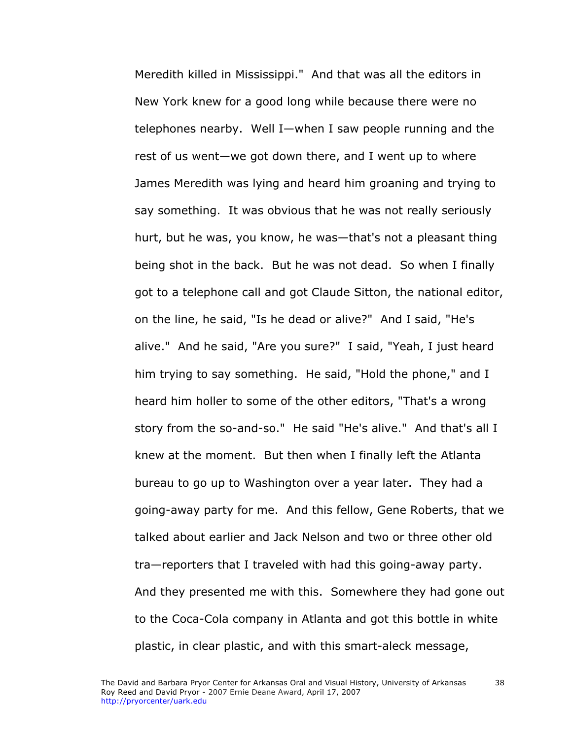Meredith killed in Mississippi." And that was all the editors in New York knew for a good long while because there were no telephones nearby. Well I—when I saw people running and the rest of us went—we got down there, and I went up to where James Meredith was lying and heard him groaning and trying to say something. It was obvious that he was not really seriously hurt, but he was, you know, he was—that's not a pleasant thing being shot in the back. But he was not dead. So when I finally got to a telephone call and got Claude Sitton, the national editor, on the line, he said, "Is he dead or alive?" And I said, "He's alive." And he said, "Are you sure?" I said, "Yeah, I just heard him trying to say something. He said, "Hold the phone," and I heard him holler to some of the other editors, "That's a wrong story from the so-and-so." He said "He's alive." And that's all I knew at the moment. But then when I finally left the Atlanta bureau to go up to Washington over a year later. They had a going-away party for me. And this fellow, Gene Roberts, that we talked about earlier and Jack Nelson and two or three other old tra—reporters that I traveled with had this going-away party. And they presented me with this. Somewhere they had gone out to the Coca-Cola company in Atlanta and got this bottle in white plastic, in clear plastic, and with this smart-aleck message,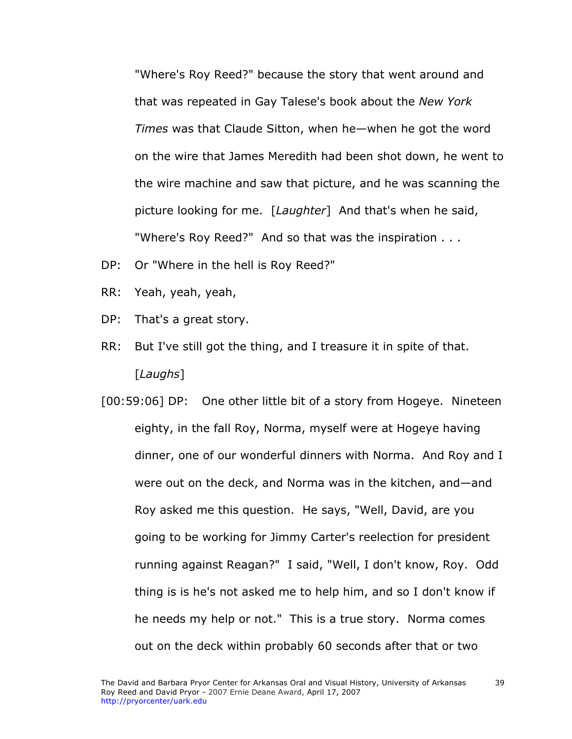"Where's Roy Reed?" because the story that went around and that was repeated in Gay Talese's book about the *New York Times* was that Claude Sitton, when he—when he got the word on the wire that James Meredith had been shot down, he went to the wire machine and saw that picture, and he was scanning the picture looking for me. [*Laughter*] And that's when he said, "Where's Roy Reed?" And so that was the inspiration . . .

- DP: Or "Where in the hell is Roy Reed?"
- RR: Yeah, yeah, yeah,
- DP: That's a great story.
- RR: But I've still got the thing, and I treasure it in spite of that. [*Laughs*]

[00:59:06] DP: One other little bit of a story from Hogeye. Nineteen eighty, in the fall Roy, Norma, myself were at Hogeye having dinner, one of our wonderful dinners with Norma. And Roy and I were out on the deck, and Norma was in the kitchen, and—and Roy asked me this question. He says, "Well, David, are you going to be working for Jimmy Carter's reelection for president running against Reagan?" I said, "Well, I don't know, Roy. Odd thing is is he's not asked me to help him, and so I don't know if he needs my help or not." This is a true story. Norma comes out on the deck within probably 60 seconds after that or two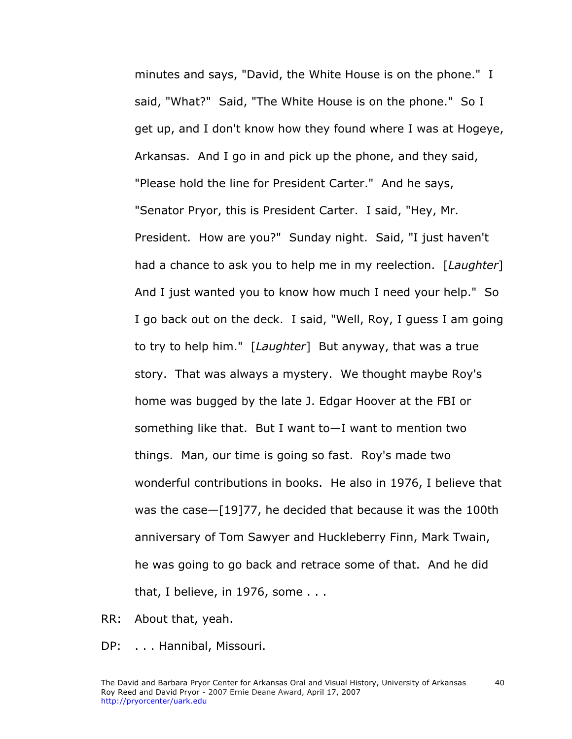minutes and says, "David, the White House is on the phone." I said, "What?" Said, "The White House is on the phone." So I get up, and I don't know how they found where I was at Hogeye, Arkansas. And I go in and pick up the phone, and they said, "Please hold the line for President Carter." And he says, "Senator Pryor, this is President Carter. I said, "Hey, Mr. President. How are you?" Sunday night. Said, "I just haven't had a chance to ask you to help me in my reelection. [*Laughter*] And I just wanted you to know how much I need your help." So I go back out on the deck. I said, "Well, Roy, I guess I am going to try to help him." [*Laughter*] But anyway, that was a true story. That was always a mystery. We thought maybe Roy's home was bugged by the late J. Edgar Hoover at the FBI or something like that. But I want to—I want to mention two things. Man, our time is going so fast. Roy's made two wonderful contributions in books. He also in 1976, I believe that was the case—[19]77, he decided that because it was the 100th anniversary of Tom Sawyer and Huckleberry Finn, Mark Twain, he was going to go back and retrace some of that. And he did that, I believe, in 1976, some . . .

RR: About that, yeah.

DP: . . . Hannibal, Missouri.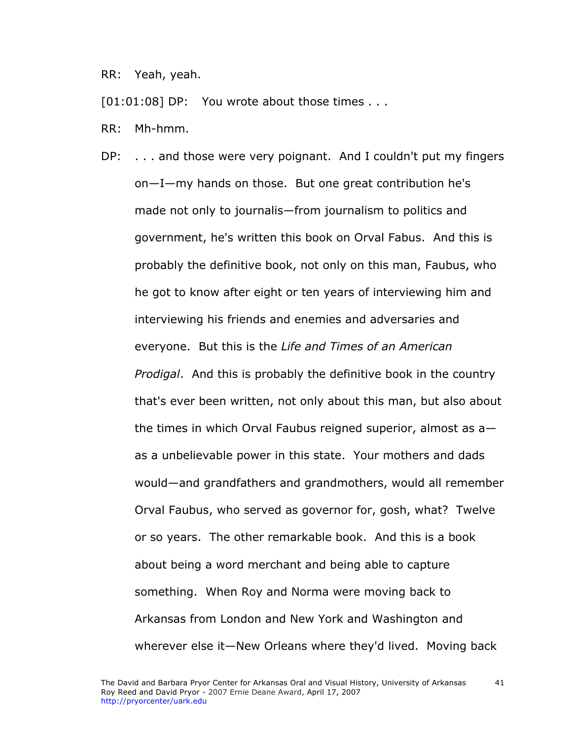RR: Yeah, yeah.

 $[01:01:08]$  DP: You wrote about those times  $\dots$ 

RR: Mh-hmm.

DP: ... and those were very poignant. And I couldn't put my fingers on—I—my hands on those. But one great contribution he's made not only to journalis—from journalism to politics and government, he's written this book on Orval Fabus. And this is probably the definitive book, not only on this man, Faubus, who he got to know after eight or ten years of interviewing him and interviewing his friends and enemies and adversaries and everyone. But this is the *Life and Times of an American Prodigal*. And this is probably the definitive book in the country that's ever been written, not only about this man, but also about the times in which Orval Faubus reigned superior, almost as a as a unbelievable power in this state. Your mothers and dads would—and grandfathers and grandmothers, would all remember Orval Faubus, who served as governor for, gosh, what? Twelve or so years. The other remarkable book. And this is a book about being a word merchant and being able to capture something. When Roy and Norma were moving back to Arkansas from London and New York and Washington and wherever else it—New Orleans where they'd lived. Moving back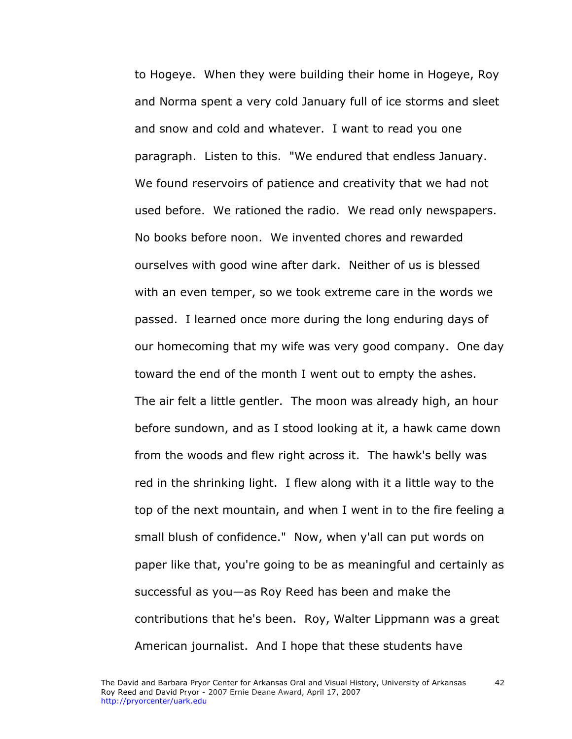to Hogeye. When they were building their home in Hogeye, Roy and Norma spent a very cold January full of ice storms and sleet and snow and cold and whatever. I want to read you one paragraph. Listen to this. "We endured that endless January. We found reservoirs of patience and creativity that we had not used before. We rationed the radio. We read only newspapers. No books before noon. We invented chores and rewarded ourselves with good wine after dark. Neither of us is blessed with an even temper, so we took extreme care in the words we passed. I learned once more during the long enduring days of our homecoming that my wife was very good company. One day toward the end of the month I went out to empty the ashes. The air felt a little gentler. The moon was already high, an hour before sundown, and as I stood looking at it, a hawk came down from the woods and flew right across it. The hawk's belly was red in the shrinking light. I flew along with it a little way to the top of the next mountain, and when I went in to the fire feeling a small blush of confidence." Now, when y'all can put words on paper like that, you're going to be as meaningful and certainly as successful as you—as Roy Reed has been and make the contributions that he's been. Roy, Walter Lippmann was a great American journalist. And I hope that these students have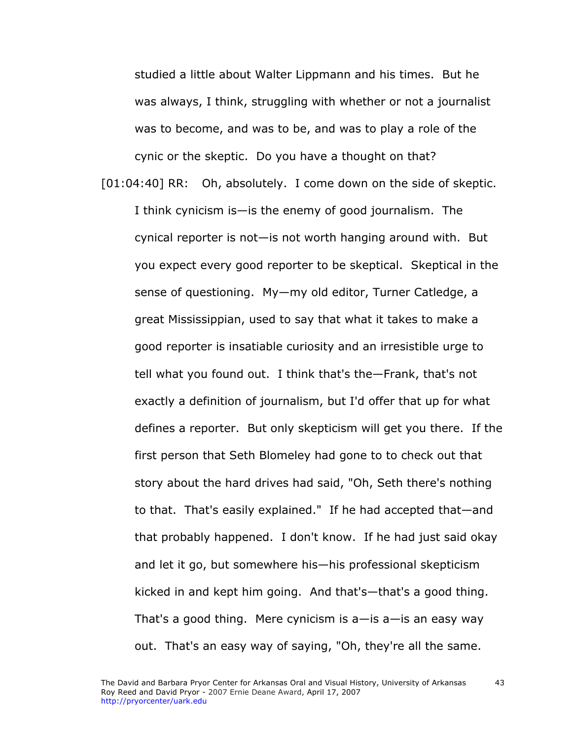studied a little about Walter Lippmann and his times. But he was always, I think, struggling with whether or not a journalist was to become, and was to be, and was to play a role of the cynic or the skeptic. Do you have a thought on that?

[01:04:40] RR: Oh, absolutely. I come down on the side of skeptic. I think cynicism is—is the enemy of good journalism. The cynical reporter is not—is not worth hanging around with. But you expect every good reporter to be skeptical. Skeptical in the sense of questioning. My—my old editor, Turner Catledge, a great Mississippian, used to say that what it takes to make a good reporter is insatiable curiosity and an irresistible urge to tell what you found out. I think that's the—Frank, that's not exactly a definition of journalism, but I'd offer that up for what defines a reporter. But only skepticism will get you there. If the first person that Seth Blomeley had gone to to check out that story about the hard drives had said, "Oh, Seth there's nothing to that. That's easily explained." If he had accepted that—and that probably happened. I don't know. If he had just said okay and let it go, but somewhere his—his professional skepticism kicked in and kept him going. And that's—that's a good thing. That's a good thing. Mere cynicism is  $a$ -is  $a$ -is an easy way out. That's an easy way of saying, "Oh, they're all the same.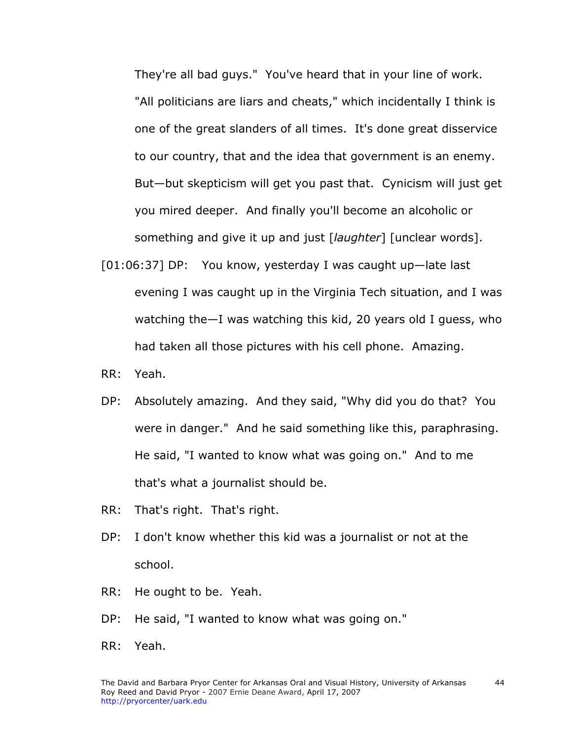They're all bad guys." You've heard that in your line of work. "All politicians are liars and cheats," which incidentally I think is one of the great slanders of all times. It's done great disservice to our country, that and the idea that government is an enemy. But—but skepticism will get you past that. Cynicism will just get you mired deeper. And finally you'll become an alcoholic or something and give it up and just [*laughter*] [unclear words].

- [01:06:37] DP: You know, yesterday I was caught up—late last evening I was caught up in the Virginia Tech situation, and I was watching the—I was watching this kid, 20 years old I guess, who had taken all those pictures with his cell phone. Amazing.
- RR: Yeah.
- DP: Absolutely amazing. And they said, "Why did you do that? You were in danger." And he said something like this, paraphrasing. He said, "I wanted to know what was going on." And to me that's what a journalist should be.
- RR: That's right. That's right.
- DP: I don't know whether this kid was a journalist or not at the school.
- RR: He ought to be. Yeah.
- DP: He said, "I wanted to know what was going on."
- RR: Yeah.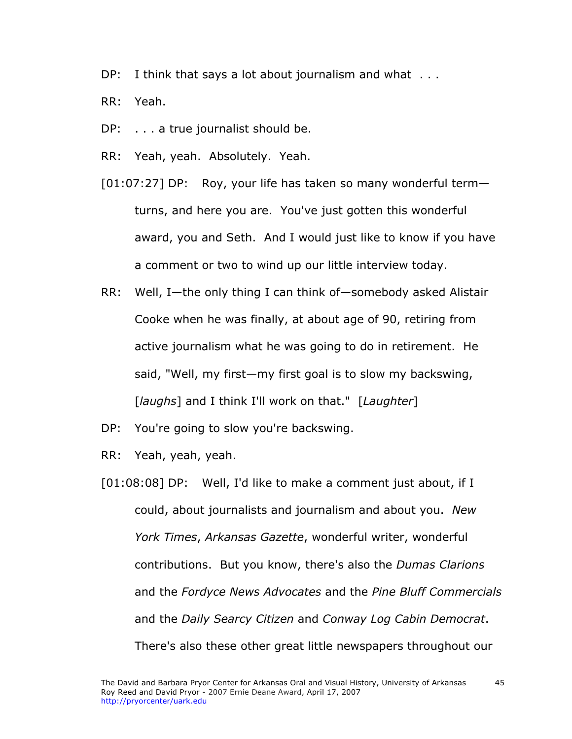- DP: I think that says a lot about journalism and what . . .
- RR: Yeah.
- DP: . . . a true journalist should be.
- RR: Yeah, yeah. Absolutely. Yeah.
- [01:07:27] DP: Roy, your life has taken so many wonderful term turns, and here you are. You've just gotten this wonderful award, you and Seth. And I would just like to know if you have a comment or two to wind up our little interview today.
- RR: Well, I—the only thing I can think of—somebody asked Alistair Cooke when he was finally, at about age of 90, retiring from active journalism what he was going to do in retirement. He said, "Well, my first—my first goal is to slow my backswing, [*laughs*] and I think I'll work on that." [*Laughter*]
- DP: You're going to slow you're backswing.
- RR: Yeah, yeah, yeah.
- [01:08:08] DP: Well, I'd like to make a comment just about, if I could, about journalists and journalism and about you. *New York Times*, *Arkansas Gazette*, wonderful writer, wonderful contributions. But you know, there's also the *Dumas Clarions* and the *Fordyce News Advocates* and the *Pine Bluff Commercials* and the *Daily Searcy Citizen* and *Conway Log Cabin Democrat*. There's also these other great little newspapers throughout our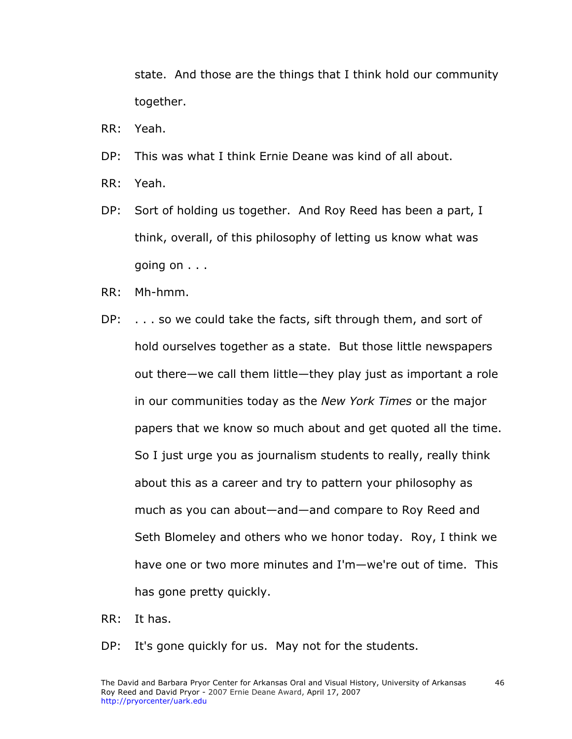state. And those are the things that I think hold our community together.

- RR: Yeah.
- DP: This was what I think Ernie Deane was kind of all about.
- RR: Yeah.
- DP: Sort of holding us together. And Roy Reed has been a part, I think, overall, of this philosophy of letting us know what was going on . . .
- RR: Mh-hmm.
- DP: . . . so we could take the facts, sift through them, and sort of hold ourselves together as a state. But those little newspapers out there—we call them little—they play just as important a role in our communities today as the *New York Times* or the major papers that we know so much about and get quoted all the time. So I just urge you as journalism students to really, really think about this as a career and try to pattern your philosophy as much as you can about—and—and compare to Roy Reed and Seth Blomeley and others who we honor today. Roy, I think we have one or two more minutes and I'm—we're out of time. This has gone pretty quickly.

RR: It has.

DP: It's gone quickly for us. May not for the students.